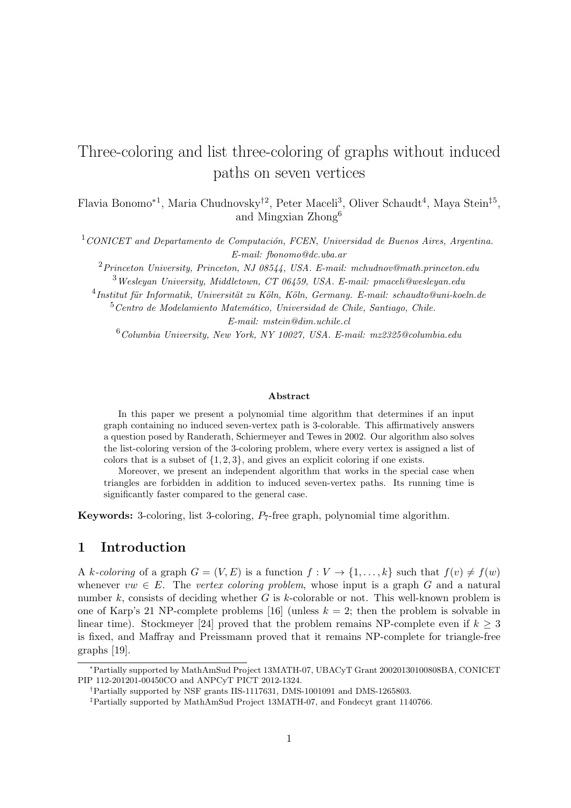# Three-coloring and list three-coloring of graphs without induced paths on seven vertices

Flavia Bonomo<sup>∗1</sup>, Maria Chudnovsky<sup>†2</sup>, Peter Maceli<sup>3</sup>, Oliver Schaudt<sup>4</sup>, Maya Stein<sup>‡5</sup>, and Mingxian Zhong<sup>6</sup>

 $1$ CONICET and Departamento de Computación, FCEN, Universidad de Buenos Aires, Argentina. E-mail: fbonomo@dc.uba.ar

 $2P\$ {Princeton University, Princeton, NJ 08544, USA. E-mail: <math>mchudnov@math.printlnprinceton.edu <sup>3</sup>Wesleyan University, Middletown, CT 06459, USA. E-mail: pmaceli@wesleyan.edu

 $^{4}$ Institut für Informatik, Universität zu Köln, Köln, Germany. E-mail: schaudto@uni-koeln.de

 $5$ Centro de Modelamiento Matemático, Universidad de Chile, Santiago, Chile. E-mail: mstein@dim.uchile.cl

 $6$ Columbia University, New York, NY 10027, USA. E-mail: mz2325@columbia.edu

#### Abstract

In this paper we present a polynomial time algorithm that determines if an input graph containing no induced seven-vertex path is 3-colorable. This affirmatively answers a question posed by Randerath, Schiermeyer and Tewes in 2002. Our algorithm also solves the list-coloring version of the 3-coloring problem, where every vertex is assigned a list of colors that is a subset of  $\{1, 2, 3\}$ , and gives an explicit coloring if one exists.

Moreover, we present an independent algorithm that works in the special case when triangles are forbidden in addition to induced seven-vertex paths. Its running time is significantly faster compared to the general case.

Keywords: 3-coloring, list 3-coloring, P7-free graph, polynomial time algorithm.

# 1 Introduction

A k-coloring of a graph  $G = (V, E)$  is a function  $f: V \to \{1, ..., k\}$  such that  $f(v) \neq f(w)$ whenever  $vw \in E$ . The vertex coloring problem, whose input is a graph G and a natural number k, consists of deciding whether G is k-colorable or not. This well-known problem is one of Karp's 21 NP-complete problems [16] (unless  $k = 2$ ; then the problem is solvable in linear time). Stockmeyer [24] proved that the problem remains NP-complete even if  $k \geq 3$ is fixed, and Maffray and Preissmann proved that it remains NP-complete for triangle-free graphs [19].

<sup>∗</sup>Partially supported by MathAmSud Project 13MATH-07, UBACyT Grant 20020130100808BA, CONICET PIP 112-201201-00450CO and ANPCyT PICT 2012-1324.

<sup>†</sup>Partially supported by NSF grants IIS-1117631, DMS-1001091 and DMS-1265803.

<sup>‡</sup>Partially supported by MathAmSud Project 13MATH-07, and Fondecyt grant 1140766.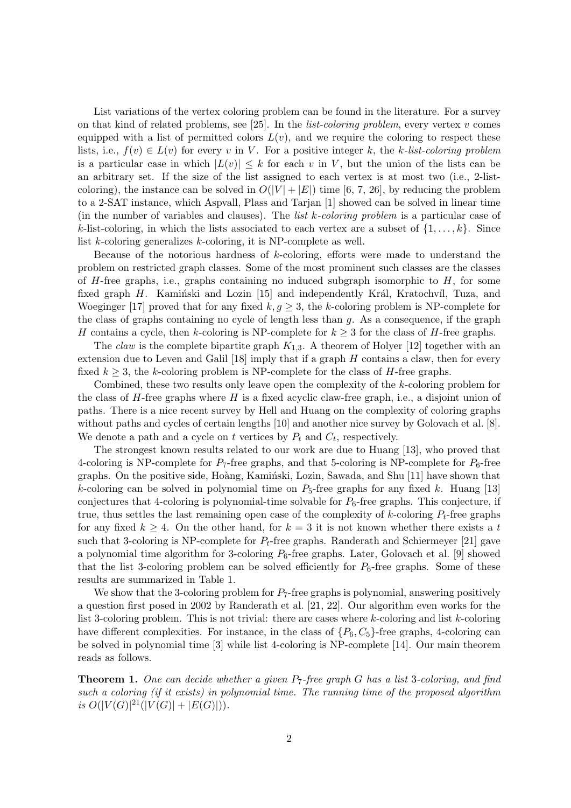List variations of the vertex coloring problem can be found in the literature. For a survey on that kind of related problems, see [25]. In the *list-coloring problem*, every vertex v comes equipped with a list of permitted colors  $L(v)$ , and we require the coloring to respect these lists, i.e.,  $f(v) \in L(v)$  for every v in V. For a positive integer k, the k-list-coloring problem is a particular case in which  $|L(v)| \leq k$  for each v in V, but the union of the lists can be an arbitrary set. If the size of the list assigned to each vertex is at most two (i.e., 2-listcoloring), the instance can be solved in  $O(|V| + |E|)$  time [6, 7, 26], by reducing the problem to a 2-SAT instance, which Aspvall, Plass and Tarjan [1] showed can be solved in linear time (in the number of variables and clauses). The *list k-coloring problem* is a particular case of k-list-coloring, in which the lists associated to each vertex are a subset of  $\{1, \ldots, k\}$ . Since list k-coloring generalizes k-coloring, it is NP-complete as well.

Because of the notorious hardness of  $k$ -coloring, efforts were made to understand the problem on restricted graph classes. Some of the most prominent such classes are the classes of  $H$ -free graphs, i.e., graphs containing no induced subgraph isomorphic to  $H$ , for some fixed graph  $H$ . Kamin'ski and Lozin [15] and independently Král, Kratochvíl, Tuza, and Woeginger [17] proved that for any fixed  $k, q \geq 3$ , the k-coloring problem is NP-complete for the class of graphs containing no cycle of length less than  $g$ . As a consequence, if the graph H contains a cycle, then k-coloring is NP-complete for  $k \geq 3$  for the class of H-free graphs.

The *claw* is the complete bipartite graph  $K_{1,3}$ . A theorem of Holyer [12] together with an extension due to Leven and Galil  $[18]$  imply that if a graph  $H$  contains a claw, then for every fixed  $k \geq 3$ , the k-coloring problem is NP-complete for the class of H-free graphs.

Combined, these two results only leave open the complexity of the k-coloring problem for the class of  $H$ -free graphs where  $H$  is a fixed acyclic claw-free graph, i.e., a disjoint union of paths. There is a nice recent survey by Hell and Huang on the complexity of coloring graphs without paths and cycles of certain lengths [10] and another nice survey by Golovach et al. [8]. We denote a path and a cycle on t vertices by  $P_t$  and  $C_t$ , respectively.

The strongest known results related to our work are due to Huang [13], who proved that 4-coloring is NP-complete for  $P_7$ -free graphs, and that 5-coloring is NP-complete for  $P_6$ -free graphs. On the positive side, Hoàng, Kaminski, Lozin, Sawada, and Shu [11] have shown that k-coloring can be solved in polynomial time on  $P_5$ -free graphs for any fixed k. Huang [13] conjectures that 4-coloring is polynomial-time solvable for  $P_6$ -free graphs. This conjecture, if true, thus settles the last remaining open case of the complexity of k-coloring  $P_t$ -free graphs for any fixed  $k \geq 4$ . On the other hand, for  $k = 3$  it is not known whether there exists a t such that 3-coloring is NP-complete for  $P_t$ -free graphs. Randerath and Schiermeyer [21] gave a polynomial time algorithm for 3-coloring  $P_6$ -free graphs. Later, Golovach et al. [9] showed that the list 3-coloring problem can be solved efficiently for  $P_6$ -free graphs. Some of these results are summarized in Table 1.

We show that the 3-coloring problem for  $P_7$ -free graphs is polynomial, answering positively a question first posed in 2002 by Randerath et al. [21, 22]. Our algorithm even works for the list 3-coloring problem. This is not trivial: there are cases where  $k$ -coloring and list  $k$ -coloring have different complexities. For instance, in the class of  $\{P_6, C_5\}$ -free graphs, 4-coloring can be solved in polynomial time [3] while list 4-coloring is NP-complete [14]. Our main theorem reads as follows.

**Theorem 1.** One can decide whether a given  $P_7$ -free graph G has a list 3-coloring, and find such a coloring (if it exists) in polynomial time. The running time of the proposed algorithm is  $O(|V(G)|^{21}(|V(G)|+|E(G)|)).$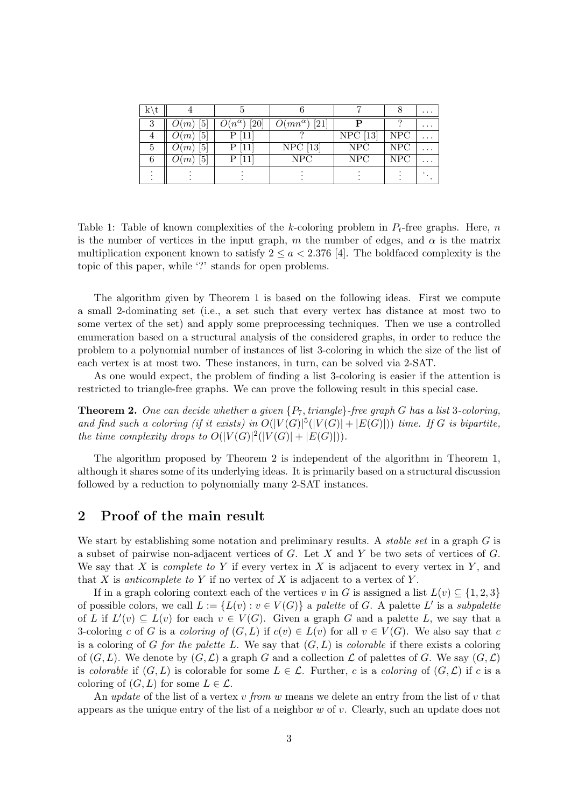| $K \setminus t$ |                           |                         |                                       |            |            | $\cdots$ |
|-----------------|---------------------------|-------------------------|---------------------------------------|------------|------------|----------|
|                 | 5<br>O(m)                 | [20]<br>$O(n^{\alpha})$ | $O(mn^{\alpha})$<br>$\left[21\right]$ |            |            | $\cdots$ |
|                 | 5 <br>O(m)                |                         |                                       | $NPC$ [13] | <b>NPC</b> |          |
|                 | $\lceil 5 \rceil$<br>O(m) | $\lceil 11 \rceil$      | $NPC$ [13]                            | NPC        | NPC        | .        |
|                 | 5<br>$\mathcal{F}(m)$     |                         | <b>NPC</b>                            | <b>NPC</b> | <b>NPC</b> |          |
|                 |                           |                         |                                       |            |            |          |
|                 |                           |                         |                                       |            |            |          |

Table 1: Table of known complexities of the k-coloring problem in  $P_t$ -free graphs. Here, n is the number of vertices in the input graph, m the number of edges, and  $\alpha$  is the matrix multiplication exponent known to satisfy  $2 \le a < 2.376$  [4]. The boldfaced complexity is the topic of this paper, while '?' stands for open problems.

The algorithm given by Theorem 1 is based on the following ideas. First we compute a small 2-dominating set (i.e., a set such that every vertex has distance at most two to some vertex of the set) and apply some preprocessing techniques. Then we use a controlled enumeration based on a structural analysis of the considered graphs, in order to reduce the problem to a polynomial number of instances of list 3-coloring in which the size of the list of each vertex is at most two. These instances, in turn, can be solved via 2-SAT.

As one would expect, the problem of finding a list 3-coloring is easier if the attention is restricted to triangle-free graphs. We can prove the following result in this special case.

**Theorem 2.** One can decide whether a given  $\{P_7, triangle\}$ -free graph G has a list 3-coloring, and find such a coloring (if it exists) in  $O(|V(G)|^5(|V(G)|+|E(G)|))$  time. If G is bipartite, the time complexity drops to  $O(|V(G)|^2(|V(G)|+|E(G)|)).$ 

The algorithm proposed by Theorem 2 is independent of the algorithm in Theorem 1, although it shares some of its underlying ideas. It is primarily based on a structural discussion followed by a reduction to polynomially many 2-SAT instances.

## 2 Proof of the main result

We start by establishing some notation and preliminary results. A *stable set* in a graph  $G$  is a subset of pairwise non-adjacent vertices of G. Let X and Y be two sets of vertices of G. We say that X is *complete to Y* if every vertex in X is adjacent to every vertex in Y, and that X is anticomplete to Y if no vertex of X is adjacent to a vertex of Y.

If in a graph coloring context each of the vertices v in G is assigned a list  $L(v) \subseteq \{1,2,3\}$ of possible colors, we call  $L := \{L(v) : v \in V(G)\}\$ a palette of G. A palette L' is a subpalette of L if  $L'(v) \subseteq L(v)$  for each  $v \in V(G)$ . Given a graph G and a palette L, we say that a 3-coloring c of G is a coloring of  $(G, L)$  if  $c(v) \in L(v)$  for all  $v \in V(G)$ . We also say that c is a coloring of G for the palette L. We say that  $(G, L)$  is colorable if there exists a coloring of  $(G, L)$ . We denote by  $(G, L)$  a graph G and a collection L of palettes of G. We say  $(G, L)$ is colorable if  $(G, L)$  is colorable for some  $L \in \mathcal{L}$ . Further, c is a coloring of  $(G, \mathcal{L})$  if c is a coloring of  $(G, L)$  for some  $L \in \mathcal{L}$ .

An update of the list of a vertex v from w means we delete an entry from the list of v that appears as the unique entry of the list of a neighbor w of v. Clearly, such an update does not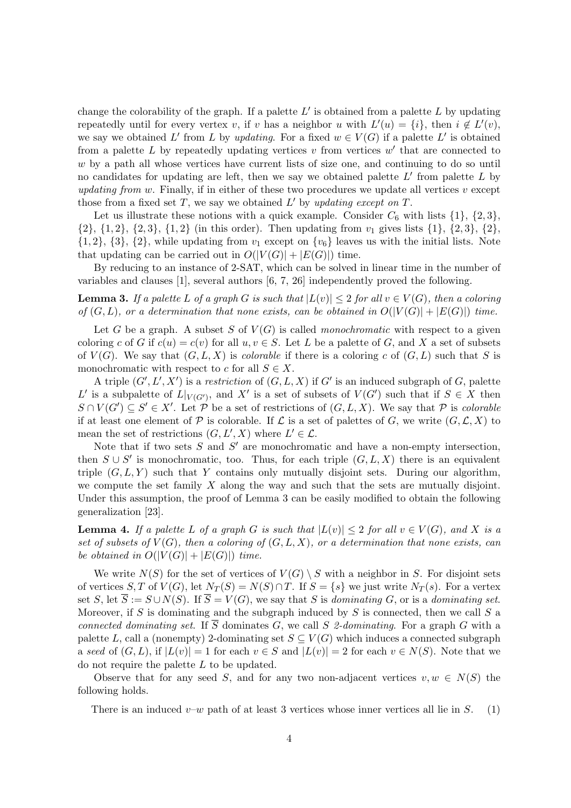change the colorability of the graph. If a palette  $L'$  is obtained from a palette  $L$  by updating repeatedly until for every vertex v, if v has a neighbor u with  $L'(u) = \{i\}$ , then  $i \notin L'(v)$ , we say we obtained L' from L by updating. For a fixed  $w \in V(G)$  if a palette L' is obtained from a palette  $L$  by repeatedly updating vertices  $v$  from vertices  $w'$  that are connected to w by a path all whose vertices have current lists of size one, and continuing to do so until no candidates for updating are left, then we say we obtained palette  $L'$  from palette  $L$  by updating from w. Finally, if in either of these two procedures we update all vertices  $v$  except those from a fixed set  $T$ , we say we obtained  $L'$  by updating except on  $T$ .

Let us illustrate these notions with a quick example. Consider  $C_6$  with lists  $\{1\}$ ,  $\{2,3\}$ ,  $\{2\}, \{1, 2\}, \{2, 3\}, \{1, 2\}$  (in this order). Then updating from  $v_1$  gives lists  $\{1\}, \{2, 3\}, \{2\}$ ,  $\{1, 2\}, \{3\}, \{2\},$  while updating from  $v_1$  except on  $\{v_6\}$  leaves us with the initial lists. Note that updating can be carried out in  $O(|V(G)| + |E(G)|)$  time.

By reducing to an instance of 2-SAT, which can be solved in linear time in the number of variables and clauses [1], several authors [6, 7, 26] independently proved the following.

**Lemma 3.** If a palette L of a graph G is such that  $|L(v)| \leq 2$  for all  $v \in V(G)$ , then a coloring of  $(G, L)$ , or a determination that none exists, can be obtained in  $O(|V(G)| + |E(G)|)$  time.

Let G be a graph. A subset S of  $V(G)$  is called *monochromatic* with respect to a given coloring c of G if  $c(u) = c(v)$  for all  $u, v \in S$ . Let L be a palette of G, and X a set of subsets of  $V(G)$ . We say that  $(G, L, X)$  is *colorable* if there is a coloring c of  $(G, L)$  such that S is monochromatic with respect to c for all  $S \in X$ .

A triple  $(G', L', X')$  is a restriction of  $(G, L, X)$  if G' is an induced subgraph of G, palette L' is a subpalette of  $L|_{V(G')}$ , and X' is a set of subsets of  $V(G')$  such that if  $S \in X$  then  $S \cap V(G') \subseteq S' \in X'$ . Let  $\mathcal{P}$  be a set of restrictions of  $(G, L, X)$ . We say that  $\mathcal{P}$  is colorable if at least one element of P is colorable. If  $\mathcal L$  is a set of palettes of G, we write  $(G, \mathcal L, X)$  to mean the set of restrictions  $(G, L', X)$  where  $L' \in \mathcal{L}$ .

Note that if two sets  $S$  and  $S'$  are monochromatic and have a non-empty intersection, then  $S \cup S'$  is monochromatic, too. Thus, for each triple  $(G, L, X)$  there is an equivalent triple  $(G, L, Y)$  such that Y contains only mutually disjoint sets. During our algorithm, we compute the set family  $X$  along the way and such that the sets are mutually disjoint. Under this assumption, the proof of Lemma 3 can be easily modified to obtain the following generalization [23].

**Lemma 4.** If a palette L of a graph G is such that  $|L(v)| \leq 2$  for all  $v \in V(G)$ , and X is a set of subsets of  $V(G)$ , then a coloring of  $(G, L, X)$ , or a determination that none exists, can be obtained in  $O(|V(G)| + |E(G)|)$  time.

We write  $N(S)$  for the set of vertices of  $V(G) \setminus S$  with a neighbor in S. For disjoint sets of vertices S, T of  $V(G)$ , let  $N_T(S) = N(S) \cap T$ . If  $S = \{s\}$  we just write  $N_T(s)$ . For a vertex set S, let  $\overline{S} := S \cup N(S)$ . If  $\overline{S} = V(G)$ , we say that S is dominating G, or is a dominating set. Moreover, if S is dominating and the subgraph induced by S is connected, then we call S a connected dominating set. If  $\overline{S}$  dominates G, we call S 2-dominating. For a graph G with a palette L, call a (nonempty) 2-dominating set  $S \subseteq V(G)$  which induces a connected subgraph a seed of  $(G, L)$ , if  $|L(v)| = 1$  for each  $v \in S$  and  $|L(v)| = 2$  for each  $v \in N(S)$ . Note that we do not require the palette L to be updated.

Observe that for any seed S, and for any two non-adjacent vertices  $v, w \in N(S)$  the following holds.

There is an induced  $v-w$  path of at least 3 vertices whose inner vertices all lie in S. (1)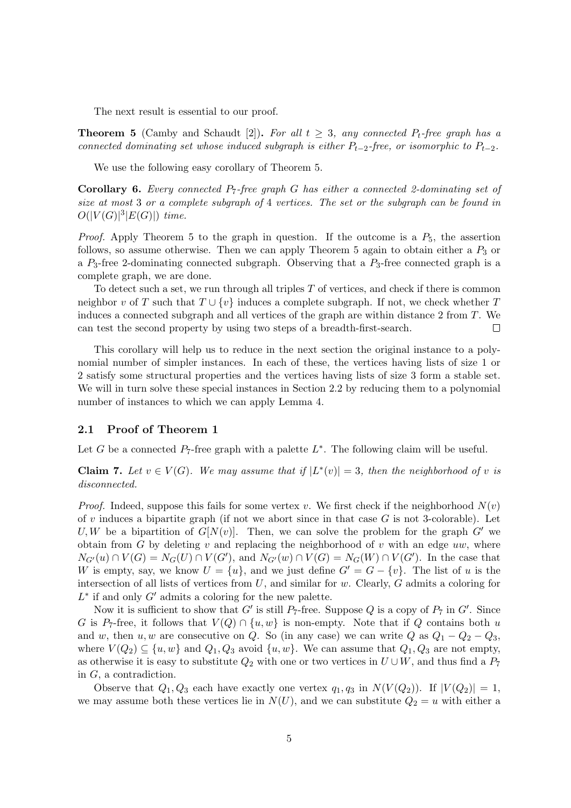The next result is essential to our proof.

**Theorem 5** (Camby and Schaudt [2]). For all  $t \geq 3$ , any connected  $P_t$ -free graph has a connected dominating set whose induced subgraph is either  $P_{t-2}$ -free, or isomorphic to  $P_{t-2}$ .

We use the following easy corollary of Theorem 5.

**Corollary 6.** Every connected  $P_7$ -free graph G has either a connected 2-dominating set of size at most 3 or a complete subgraph of 4 vertices. The set or the subgraph can be found in  $O(|V(G)|^3|E(G)|)$  time.

*Proof.* Apply Theorem 5 to the graph in question. If the outcome is a  $P_5$ , the assertion follows, so assume otherwise. Then we can apply Theorem 5 again to obtain either a  $P_3$  or a  $P_3$ -free 2-dominating connected subgraph. Observing that a  $P_3$ -free connected graph is a complete graph, we are done.

To detect such a set, we run through all triples  $T$  of vertices, and check if there is common neighbor v of T such that  $T \cup \{v\}$  induces a complete subgraph. If not, we check whether T induces a connected subgraph and all vertices of the graph are within distance 2 from T. We can test the second property by using two steps of a breadth-first-search.  $\Box$ 

This corollary will help us to reduce in the next section the original instance to a polynomial number of simpler instances. In each of these, the vertices having lists of size 1 or 2 satisfy some structural properties and the vertices having lists of size 3 form a stable set. We will in turn solve these special instances in Section 2.2 by reducing them to a polynomial number of instances to which we can apply Lemma 4.

### 2.1 Proof of Theorem 1

Let G be a connected  $P_7$ -free graph with a palette  $L^*$ . The following claim will be useful.

**Claim 7.** Let  $v \in V(G)$ . We may assume that if  $|L^*(v)| = 3$ , then the neighborhood of v is disconnected.

*Proof.* Indeed, suppose this fails for some vertex v. We first check if the neighborhood  $N(v)$ of v induces a bipartite graph (if not we abort since in that case  $G$  is not 3-colorable). Let U, W be a bipartition of  $G[N(v)]$ . Then, we can solve the problem for the graph G' we obtain from G by deleting v and replacing the neighborhood of v with an edge uw, where  $N_{G'}(u) \cap V(G) = N_G(U) \cap V(G')$ , and  $N_{G'}(w) \cap V(G) = N_G(W) \cap V(G')$ . In the case that W is empty, say, we know  $U = \{u\}$ , and we just define  $G' = G - \{v\}$ . The list of u is the intersection of all lists of vertices from U, and similar for w. Clearly, G admits a coloring for  $L^*$  if and only  $G'$  admits a coloring for the new palette.

Now it is sufficient to show that G' is still  $P_7$ -free. Suppose Q is a copy of  $P_7$  in G'. Since G is P<sub>7</sub>-free, it follows that  $V(Q) \cap \{u, w\}$  is non-empty. Note that if Q contains both u and w, then u, w are consecutive on Q. So (in any case) we can write Q as  $Q_1 - Q_2 - Q_3$ , where  $V(Q_2) \subseteq \{u, w\}$  and  $Q_1, Q_3$  avoid  $\{u, w\}$ . We can assume that  $Q_1, Q_3$  are not empty, as otherwise it is easy to substitute  $Q_2$  with one or two vertices in  $U\cup W$ , and thus find a  $P_7$ in G, a contradiction.

Observe that  $Q_1, Q_3$  each have exactly one vertex  $q_1, q_3$  in  $N(V(Q_2))$ . If  $|V(Q_2)| = 1$ , we may assume both these vertices lie in  $N(U)$ , and we can substitute  $Q_2 = u$  with either a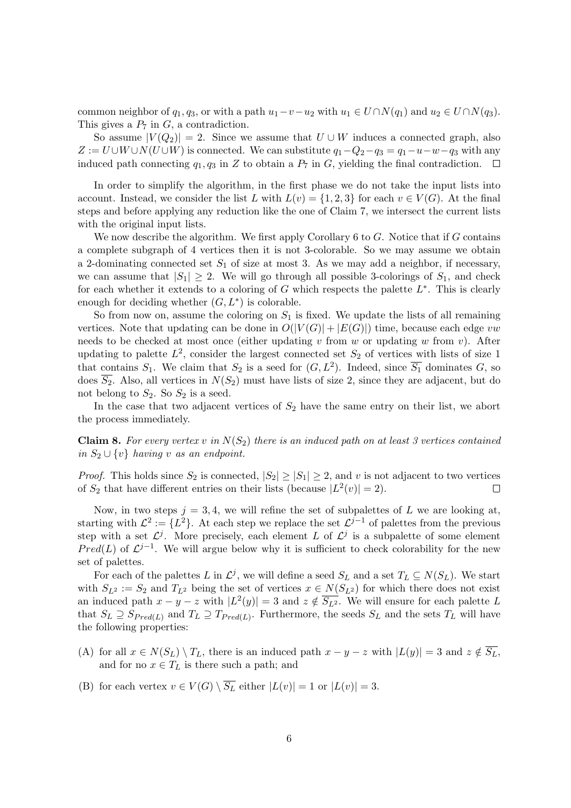common neighbor of  $q_1, q_3$ , or with a path  $u_1-v-u_2$  with  $u_1 \in U \cap N(q_1)$  and  $u_2 \in U \cap N(q_3)$ . This gives a  $P_7$  in  $G$ , a contradiction.

So assume  $|V(Q_2)| = 2$ . Since we assume that  $U \cup W$  induces a connected graph, also  $Z := U \cup W \cup N(U \cup W)$  is connected. We can substitute  $q_1 - Q_2 - q_3 = q_1 - u - w - q_3$  with any induced path connecting  $q_1, q_3$  in Z to obtain a  $P_7$  in G, yielding the final contradiction.

In order to simplify the algorithm, in the first phase we do not take the input lists into account. Instead, we consider the list L with  $L(v) = \{1, 2, 3\}$  for each  $v \in V(G)$ . At the final steps and before applying any reduction like the one of Claim 7, we intersect the current lists with the original input lists.

We now describe the algorithm. We first apply Corollary  $6$  to  $G$ . Notice that if  $G$  contains a complete subgraph of 4 vertices then it is not 3-colorable. So we may assume we obtain a 2-dominating connected set  $S_1$  of size at most 3. As we may add a neighbor, if necessary, we can assume that  $|S_1| \geq 2$ . We will go through all possible 3-colorings of  $S_1$ , and check for each whether it extends to a coloring of  $G$  which respects the palette  $L^*$ . This is clearly enough for deciding whether  $(G, L^*)$  is colorable.

So from now on, assume the coloring on  $S_1$  is fixed. We update the lists of all remaining vertices. Note that updating can be done in  $O(|V(G)| + |E(G)|)$  time, because each edge vw needs to be checked at most once (either updating v from w or updating w from v). After updating to palette  $L^2$ , consider the largest connected set  $S_2$  of vertices with lists of size 1 that contains  $S_1$ . We claim that  $S_2$  is a seed for  $(G, L^2)$ . Indeed, since  $\overline{S_1}$  dominates G, so does  $\overline{S_2}$ . Also, all vertices in  $N(S_2)$  must have lists of size 2, since they are adjacent, but do not belong to  $S_2$ . So  $S_2$  is a seed.

In the case that two adjacent vertices of  $S_2$  have the same entry on their list, we abort the process immediately.

**Claim 8.** For every vertex v in  $N(S_2)$  there is an induced path on at least 3 vertices contained in  $S_2 \cup \{v\}$  having v as an endpoint.

*Proof.* This holds since  $S_2$  is connected,  $|S_2| \geq |S_1| \geq 2$ , and v is not adjacent to two vertices of  $S_2$  that have different entries on their lists (because  $|L^2(v)| = 2$ ).  $\Box$ 

Now, in two steps  $j = 3, 4$ , we will refine the set of subpalettes of L we are looking at, starting with  $\mathcal{L}^2 := \{L^2\}$ . At each step we replace the set  $\mathcal{L}^{j-1}$  of palettes from the previous step with a set  $\mathcal{L}^j$ . More precisely, each element L of  $\mathcal{L}^j$  is a subpalette of some element Pred(L) of  $\mathcal{L}^{j-1}$ . We will argue below why it is sufficient to check colorability for the new set of palettes.

For each of the palettes L in  $\mathcal{L}^j$ , we will define a seed  $S_L$  and a set  $T_L \subseteq N(S_L)$ . We start with  $S_{L^2} := S_2$  and  $T_{L^2}$  being the set of vertices  $x \in N(S_{L^2})$  for which there does not exist an induced path  $x - y - z$  with  $|L^2(y)| = 3$  and  $z \notin \overline{S_{L^2}}$ . We will ensure for each palette L that  $S_L \supseteq S_{Pred(L)}$  and  $T_L \supseteq T_{Pred(L)}$ . Furthermore, the seeds  $S_L$  and the sets  $T_L$  will have the following properties:

- (A) for all  $x \in N(S_L) \setminus T_L$ , there is an induced path  $x y z$  with  $|L(y)| = 3$  and  $z \notin \overline{S_L}$ , and for no  $x \in T_L$  is there such a path; and
- (B) for each vertex  $v \in V(G) \setminus \overline{S_L}$  either  $|L(v)| = 1$  or  $|L(v)| = 3$ .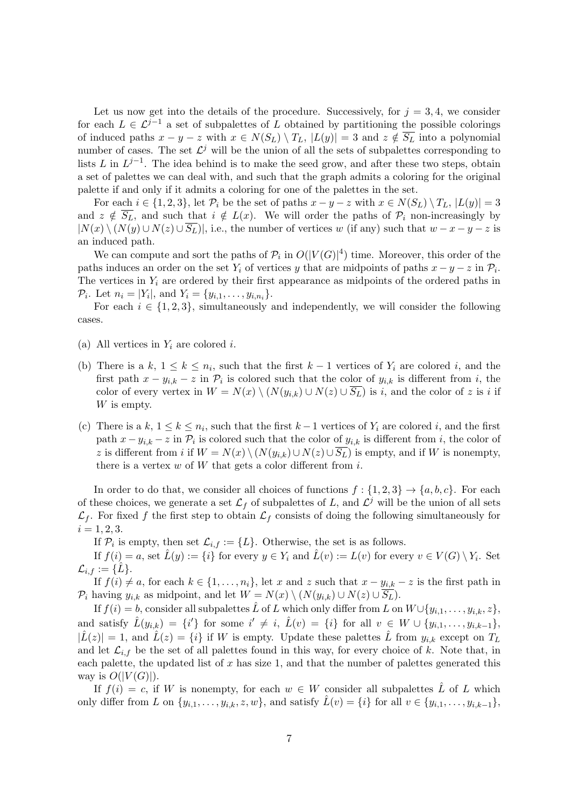Let us now get into the details of the procedure. Successively, for  $j = 3, 4$ , we consider for each  $L \in \mathcal{L}^{j-1}$  a set of subpalettes of L obtained by partitioning the possible colorings of induced paths  $x - y - z$  with  $x \in N(S_L) \setminus T_L$ ,  $|L(y)| = 3$  and  $z \notin \overline{S_L}$  into a polynomial number of cases. The set  $\mathcal{L}^j$  will be the union of all the sets of subpalettes corresponding to lists L in  $L^{j-1}$ . The idea behind is to make the seed grow, and after these two steps, obtain a set of palettes we can deal with, and such that the graph admits a coloring for the original palette if and only if it admits a coloring for one of the palettes in the set.

For each  $i \in \{1,2,3\}$ , let  $\mathcal{P}_i$  be the set of paths  $x - y - z$  with  $x \in N(S_L) \setminus T_L$ ,  $|L(y)| = 3$ and  $z \notin \overline{S_L}$ , and such that  $i \notin L(x)$ . We will order the paths of  $\mathcal{P}_i$  non-increasingly by  $|N(x) \setminus (N(y) \cup N(z) \cup \overline{S_L})|$ , i.e., the number of vertices w (if any) such that  $w - x - y - z$  is an induced path.

We can compute and sort the paths of  $\mathcal{P}_i$  in  $O(|V(G)|^4)$  time. Moreover, this order of the paths induces an order on the set  $Y_i$  of vertices y that are midpoints of paths  $x - y - z$  in  $\mathcal{P}_i$ . The vertices in  $Y_i$  are ordered by their first appearance as midpoints of the ordered paths in  $\mathcal{P}_i$ . Let  $n_i = |Y_i|$ , and  $Y_i = \{y_{i,1}, \ldots, y_{i,n_i}\}.$ 

For each  $i \in \{1,2,3\}$ , simultaneously and independently, we will consider the following cases.

- (a) All vertices in  $Y_i$  are colored i.
- (b) There is a k,  $1 \leq k \leq n_i$ , such that the first  $k-1$  vertices of  $Y_i$  are colored i, and the first path  $x - y_{i,k} - z$  in  $\mathcal{P}_i$  is colored such that the color of  $y_{i,k}$  is different from i, the color of every vertex in  $W = N(x) \setminus (N(y_{i,k}) \cup N(z) \cup \overline{S_L})$  is i, and the color of z is i if W is empty.
- (c) There is a  $k, 1 \leq k \leq n_i$ , such that the first  $k-1$  vertices of  $Y_i$  are colored i, and the first path  $x - y_{i,k} - z$  in  $\mathcal{P}_i$  is colored such that the color of  $y_{i,k}$  is different from i, the color of z is different from i if  $W = N(x) \setminus (N(y_{i,k}) \cup N(z) \cup \overline{S_L})$  is empty, and if W is nonempty, there is a vertex  $w$  of  $W$  that gets a color different from  $i$ .

In order to do that, we consider all choices of functions  $f: \{1,2,3\} \rightarrow \{a,b,c\}$ . For each of these choices, we generate a set  $\mathcal{L}_f$  of subpalettes of L, and  $\mathcal{L}^j$  will be the union of all sets  $\mathcal{L}_f$ . For fixed f the first step to obtain  $\mathcal{L}_f$  consists of doing the following simultaneously for  $i = 1, 2, 3.$ 

If  $\mathcal{P}_i$  is empty, then set  $\mathcal{L}_{i,f} := \{L\}$ . Otherwise, the set is as follows.

If  $f(i) = a$ , set  $\hat{L}(y) := \{i\}$  for every  $y \in Y_i$  and  $\hat{L}(v) := L(v)$  for every  $v \in V(G) \setminus Y_i$ . Set  $\mathcal{L}_{i,f} := {\hat{L}}.$ 

If  $f(i) \neq a$ , for each  $k \in \{1, \ldots, n_i\}$ , let x and z such that  $x - y_{i,k} - z$  is the first path in  $\mathcal{P}_i$  having  $y_{i,k}$  as midpoint, and let  $W = N(x) \setminus (N(y_{i,k}) \cup N(z) \cup \overline{S_L}).$ 

If  $f(i) = b$ , consider all subpalettes  $\hat{L}$  of L which only differ from L on  $W \cup \{y_{i,1}, \ldots, y_{i,k}, z\}$ , and satisfy  $\hat{L}(y_{i,k}) = \{i'\}$  for some  $i' \neq i$ ,  $\hat{L}(v) = \{i\}$  for all  $v \in W \cup \{y_{i,1}, \ldots, y_{i,k-1}\}$ ,  $|\hat{L}(z)| = 1$ , and  $\hat{L}(z) = \{i\}$  if W is empty. Update these palettes  $\hat{L}$  from  $y_{i,k}$  except on  $T_L$ and let  $\mathcal{L}_{i,f}$  be the set of all palettes found in this way, for every choice of k. Note that, in each palette, the updated list of  $x$  has size 1, and that the number of palettes generated this way is  $O(|V(G)|)$ .

If  $f(i) = c$ , if W is nonempty, for each  $w \in W$  consider all subpalettes L of L which only differ from L on  $\{y_{i,1}, \ldots, y_{i,k}, z, w\}$ , and satisfy  $\tilde{L}(v) = \{i\}$  for all  $v \in \{y_{i,1}, \ldots, y_{i,k-1}\}$ ,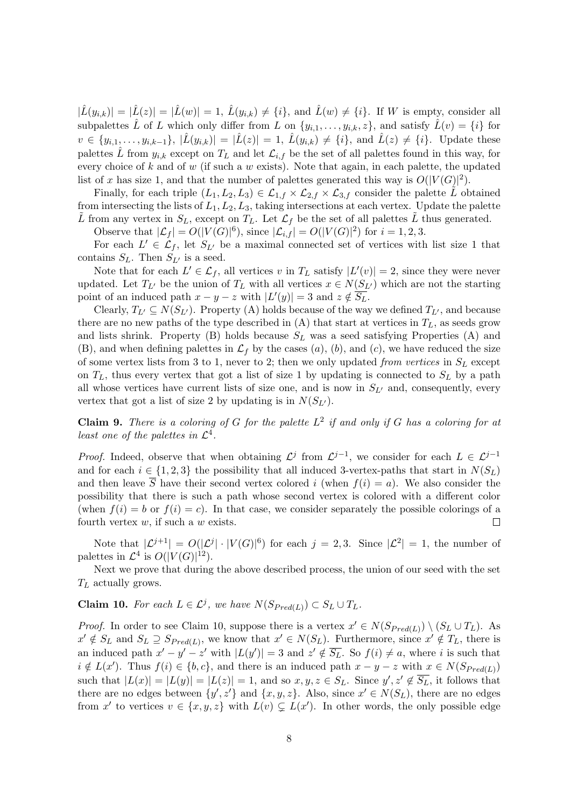$|\hat{L}(y_{i,k})| = |\hat{L}(z)| = |\hat{L}(w)| = 1$ ,  $\hat{L}(y_{i,k}) \neq \{i\}$ , and  $\hat{L}(w) \neq \{i\}$ . If W is empty, consider all subpalettes  $\hat{L}$  of L which only differ from L on  $\{y_{i,1},\ldots,y_{i,k},z\}$ , and satisfy  $\hat{L}(v) = \{i\}$  for  $v \in \{y_{i,1}, \ldots, y_{i,k-1}\}, |\hat{L}(y_{i,k})| = |\hat{L}(z)| = 1, \hat{L}(y_{i,k}) \neq \{i\}, \text{ and } \hat{L}(z) \neq \{i\}.$  Update these palettes  $\hat{L}$  from  $y_{i,k}$  except on  $T_L$  and let  $\mathcal{L}_{i,f}$  be the set of all palettes found in this way, for every choice of k and of w (if such a w exists). Note that again, in each palette, the updated list of x has size 1, and that the number of palettes generated this way is  $O(|V(G)|^2)$ .

Finally, for each triple  $(L_1, L_2, L_3) \in \mathcal{L}_{1,f} \times \mathcal{L}_{2,f} \times \mathcal{L}_{3,f}$  consider the palette L obtained from intersecting the lists of  $L_1, L_2, L_3$ , taking intersections at each vertex. Update the palette L from any vertex in  $S_L$ , except on  $T_L$ . Let  $\mathcal{L}_f$  be the set of all palettes L thus generated.

Observe that  $|\mathcal{L}_f| = O(|V(G)|^6)$ , since  $|\mathcal{L}_{i,f}| = O(|V(G)|^2)$  for  $i = 1, 2, 3$ .

For each  $L' \in \mathcal{L}_f$ , let  $S_{L'}$  be a maximal connected set of vertices with list size 1 that contains  $S_L$ . Then  $S_{L'}$  is a seed.

Note that for each  $L' \in \mathcal{L}_f$ , all vertices v in  $T_L$  satisfy  $|L'(v)| = 2$ , since they were never updated. Let  $T_{L'}$  be the union of  $T_L$  with all vertices  $x \in N(S_{L'})$  which are not the starting point of an induced path  $x - y - z$  with  $|L'(y)| = 3$  and  $z \notin \overline{S_L}$ .

Clearly,  $T_{L'} \subseteq N(S_{L'})$ . Property (A) holds because of the way we defined  $T_{L'}$ , and because there are no new paths of the type described in  $(A)$  that start at vertices in  $T_L$ , as seeds grow and lists shrink. Property (B) holds because  $S_L$  was a seed satisfying Properties (A) and (B), and when defining palettes in  $\mathcal{L}_f$  by the cases  $(a)$ ,  $(b)$ , and  $(c)$ , we have reduced the size of some vertex lists from 3 to 1, never to 2; then we only updated from vertices in  $S_L$  except on  $T_L$ , thus every vertex that got a list of size 1 by updating is connected to  $S_L$  by a path all whose vertices have current lists of size one, and is now in  $S_{L'}$  and, consequently, every vertex that got a list of size 2 by updating is in  $N(S_{L})$ .

**Claim 9.** There is a coloring of G for the palette  $L^2$  if and only if G has a coloring for at least one of the palettes in  $\mathcal{L}^4$ .

*Proof.* Indeed, observe that when obtaining  $\mathcal{L}^j$  from  $\mathcal{L}^{j-1}$ , we consider for each  $L \in \mathcal{L}^{j-1}$ and for each  $i \in \{1,2,3\}$  the possibility that all induced 3-vertex-paths that start in  $N(S_L)$ and then leave  $\overline{S}$  have their second vertex colored i (when  $f(i) = a$ ). We also consider the possibility that there is such a path whose second vertex is colored with a different color (when  $f(i) = b$  or  $f(i) = c$ ). In that case, we consider separately the possible colorings of a fourth vertex  $w$ , if such a  $w$  exists.  $\Box$ 

Note that  $|\mathcal{L}^{j+1}| = O(|\mathcal{L}^{j}| \cdot |V(G)|^6)$  for each  $j = 2,3$ . Since  $|\mathcal{L}^{2}| = 1$ , the number of palettes in  $\mathcal{L}^4$  is  $O(|V(G)|^{12})$ .

Next we prove that during the above described process, the union of our seed with the set  $T_L$  actually grows.

**Claim 10.** For each  $L \in \mathcal{L}^j$ , we have  $N(S_{Pred(L)}) \subset S_L \cup T_L$ .

*Proof.* In order to see Claim 10, suppose there is a vertex  $x' \in N(S_{Pred(L)}) \setminus (S_L \cup T_L)$ . As  $x' \notin S_L$  and  $S_L \supseteq S_{Pred(L)}$ , we know that  $x' \in N(S_L)$ . Furthermore, since  $x' \notin T_L$ , there is an induced path  $x'-y'-z'$  with  $|L(y')|=3$  and  $z' \notin \overline{S_L}$ . So  $f(i) \neq a$ , where i is such that  $i \notin L(x')$ . Thus  $f(i) \in \{b, c\}$ , and there is an induced path  $x - y - z$  with  $x \in N(S_{Pred(L)})$ such that  $|L(x)| = |L(y)| = |L(z)| = 1$ , and so  $x, y, z \in S_L$ . Since  $y', z' \notin \overline{S_L}$ , it follows that there are no edges between  $\{y', z'\}$  and  $\{x, y, z\}$ . Also, since  $x' \in N(S_L)$ , there are no edges from x' to vertices  $v \in \{x, y, z\}$  with  $L(v) \subsetneq L(x')$ . In other words, the only possible edge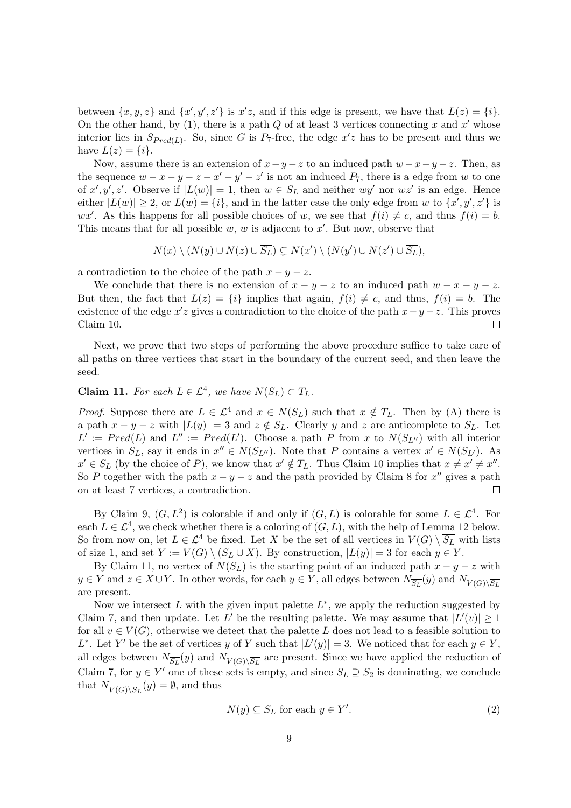between  $\{x, y, z\}$  and  $\{x', y', z'\}$  is  $x'z$ , and if this edge is present, we have that  $L(z) = \{i\}$ . On the other hand, by  $(1)$ , there is a path Q of at least 3 vertices connecting x and x' whose interior lies in  $S_{Pred(L)}$ . So, since G is  $P_7$ -free, the edge  $x'z$  has to be present and thus we have  $L(z) = \{i\}.$ 

Now, assume there is an extension of  $x-y-z$  to an induced path  $w-x-y-z$ . Then, as the sequence  $w - x - y - z - x' - y' - z'$  is not an induced  $P_7$ , there is a edge from w to one of x', y', z'. Observe if  $|L(w)| = 1$ , then  $w \in S_L$  and neither  $wy'$  nor  $wz'$  is an edge. Hence either  $|L(w)| \geq 2$ , or  $L(w) = \{i\}$ , and in the latter case the only edge from w to  $\{x', y', z'\}$  is wx'. As this happens for all possible choices of w, we see that  $f(i) \neq c$ , and thus  $f(i) = b$ . This means that for all possible  $w, w$  is adjacent to  $x'$ . But now, observe that

$$
N(x) \setminus (N(y) \cup N(z) \cup \overline{S_L}) \subsetneq N(x') \setminus (N(y') \cup N(z') \cup \overline{S_L}),
$$

a contradiction to the choice of the path  $x - y - z$ .

We conclude that there is no extension of  $x - y - z$  to an induced path  $w - x - y - z$ . But then, the fact that  $L(z) = \{i\}$  implies that again,  $f(i) \neq c$ , and thus,  $f(i) = b$ . The existence of the edge  $x'z$  gives a contradiction to the choice of the path  $x-y-z$ . This proves Claim 10.  $\Box$ 

Next, we prove that two steps of performing the above procedure suffice to take care of all paths on three vertices that start in the boundary of the current seed, and then leave the seed.

# **Claim 11.** For each  $L \in \mathcal{L}^4$ , we have  $N(S_L) \subset T_L$ .

*Proof.* Suppose there are  $L \in \mathcal{L}^4$  and  $x \in N(S_L)$  such that  $x \notin T_L$ . Then by (A) there is a path  $x - y - z$  with  $|L(y)| = 3$  and  $z \notin \overline{S_L}$ . Clearly y and z are anticomplete to  $S_L$ . Let  $L' := Pred(L)$  and  $L'' := Pred(L')$ . Choose a path P from x to  $N(S_{L''})$  with all interior vertices in  $S_L$ , say it ends in  $x'' \in N(S_{L''})$ . Note that P contains a vertex  $x' \in N(S_{L'})$ . As  $x' \in S_L$  (by the choice of P), we know that  $x' \notin T_L$ . Thus Claim 10 implies that  $x \neq x' \neq x''$ . So P together with the path  $x - y - z$  and the path provided by Claim 8 for  $x''$  gives a path on at least 7 vertices, a contradiction.  $\Box$ 

By Claim 9,  $(G, L^2)$  is colorable if and only if  $(G, L)$  is colorable for some  $L \in \mathcal{L}^4$ . For each  $L \in \mathcal{L}^4$ , we check whether there is a coloring of  $(G, L)$ , with the help of Lemma 12 below. So from now on, let  $L \in \mathcal{L}^4$  be fixed. Let X be the set of all vertices in  $V(G) \setminus \overline{S_L}$  with lists of size 1, and set  $Y := V(G) \setminus (\overline{S_L} \cup X)$ . By construction,  $|L(y)| = 3$  for each  $y \in Y$ .

By Claim 11, no vertex of  $N(S_L)$  is the starting point of an induced path  $x - y - z$  with  $y \in Y$  and  $z \in X \cup Y$ . In other words, for each  $y \in Y$ , all edges between  $N_{\overline{S_L}}(y)$  and  $N_{V(G) \setminus \overline{S_L}}$ are present.

Now we intersect  $L$  with the given input palette  $L^*$ , we apply the reduction suggested by Claim 7, and then update. Let L' be the resulting palette. We may assume that  $|L'(v)| \geq 1$ for all  $v \in V(G)$ , otherwise we detect that the palette L does not lead to a feasible solution to L<sup>\*</sup>. Let Y' be the set of vertices y of Y such that  $|L'(y)| = 3$ . We noticed that for each  $y \in Y$ , all edges between  $N_{\overline{S_L}}(y)$  and  $N_{V(G)\setminus \overline{S_L}}$  are present. Since we have applied the reduction of Claim 7, for  $y \in Y'$  one of these sets is empty, and since  $\overline{S_L} \supseteq \overline{S_2}$  is dominating, we conclude that  $N_{V(G)\backslash \overline{S_L}}(y) = \emptyset$ , and thus

$$
N(y) \subseteq \overline{S_L} \text{ for each } y \in Y'.\tag{2}
$$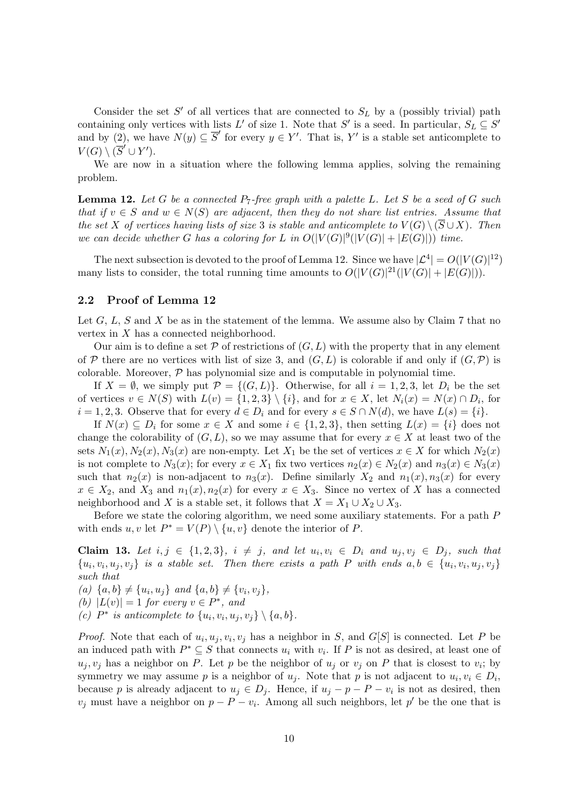Consider the set  $S'$  of all vertices that are connected to  $S_L$  by a (possibly trivial) path containing only vertices with lists L' of size 1. Note that S' is a seed. In particular,  $S_L \subseteq S'$ and by (2), we have  $N(y) \subseteq \overline{S}'$  for every  $y \in Y'$ . That is, Y' is a stable set anticomplete to  $V(G) \setminus (\overline{S}' \cup Y')$ .

We are now in a situation where the following lemma applies, solving the remaining problem.

**Lemma 12.** Let G be a connected  $P_7$ -free graph with a palette L. Let S be a seed of G such that if  $v \in S$  and  $w \in N(S)$  are adjacent, then they do not share list entries. Assume that the set X of vertices having lists of size 3 is stable and anticomplete to  $V(G) \setminus (\overline{S} \cup X)$ . Then we can decide whether G has a coloring for L in  $O(|V(G)|^9(|V(G)|+|E(G)|))$  time.

The next subsection is devoted to the proof of Lemma 12. Since we have  $|\mathcal{L}^4| = O(|V(G)|^{12})$ many lists to consider, the total running time amounts to  $O(|V(G)|^2 |(|V(G)| + |E(G)|)).$ 

### 2.2 Proof of Lemma 12

Let  $G, L, S$  and X be as in the statement of the lemma. We assume also by Claim 7 that no vertex in  $X$  has a connected neighborhood.

Our aim is to define a set  $P$  of restrictions of  $(G, L)$  with the property that in any element of P there are no vertices with list of size 3, and  $(G, L)$  is colorable if and only if  $(G, \mathcal{P})$  is colorable. Moreover,  $P$  has polynomial size and is computable in polynomial time.

If  $X = \emptyset$ , we simply put  $\mathcal{P} = \{(G, L)\}\$ . Otherwise, for all  $i = 1, 2, 3$ , let  $D_i$  be the set of vertices  $v \in N(S)$  with  $L(v) = \{1, 2, 3\} \setminus \{i\}$ , and for  $x \in X$ , let  $N_i(x) = N(x) \cap D_i$ , for  $i = 1, 2, 3$ . Observe that for every  $d \in D_i$  and for every  $s \in S \cap N(d)$ , we have  $L(s) = \{i\}$ .

If  $N(x) \subseteq D_i$  for some  $x \in X$  and some  $i \in \{1, 2, 3\}$ , then setting  $L(x) = \{i\}$  does not change the colorability of  $(G, L)$ , so we may assume that for every  $x \in X$  at least two of the sets  $N_1(x)$ ,  $N_2(x)$ ,  $N_3(x)$  are non-empty. Let  $X_1$  be the set of vertices  $x \in X$  for which  $N_2(x)$ is not complete to  $N_3(x)$ ; for every  $x \in X_1$  fix two vertices  $n_2(x) \in N_2(x)$  and  $n_3(x) \in N_3(x)$ such that  $n_2(x)$  is non-adjacent to  $n_3(x)$ . Define similarly  $X_2$  and  $n_1(x), n_3(x)$  for every  $x \in X_2$ , and  $X_3$  and  $n_1(x)$ ,  $n_2(x)$  for every  $x \in X_3$ . Since no vertex of X has a connected neighborhood and X is a stable set, it follows that  $X = X_1 \cup X_2 \cup X_3$ .

Before we state the coloring algorithm, we need some auxiliary statements. For a path P with ends  $u, v$  let  $P^* = V(P) \setminus \{u, v\}$  denote the interior of P.

**Claim 13.** Let  $i, j \in \{1, 2, 3\}$ ,  $i \neq j$ , and let  $u_i, v_i \in D_i$  and  $u_j, v_j \in D_j$ , such that  $\{u_i, v_i, u_j, v_j\}$  is a stable set. Then there exists a path P with ends  $a, b \in \{u_i, v_i, u_j, v_j\}$ such that

(a)  $\{a, b\} \neq \{u_i, u_j\}$  and  $\{a, b\} \neq \{v_i, v_j\},\$ 

(b)  $|L(v)| = 1$  for every  $v \in P^*$ , and

(c)  $P^*$  is anticomplete to  $\{u_i, v_i, u_j, v_j\} \setminus \{a, b\}.$ 

*Proof.* Note that each of  $u_i, u_j, v_i, v_j$  has a neighbor in S, and  $G[S]$  is connected. Let P be an induced path with  $P^* \subseteq S$  that connects  $u_i$  with  $v_i$ . If P is not as desired, at least one of  $u_j, v_j$  has a neighbor on P. Let p be the neighbor of  $u_j$  or  $v_j$  on P that is closest to  $v_i$ ; by symmetry we may assume p is a neighbor of  $u_j$ . Note that p is not adjacent to  $u_i, v_i \in D_i$ , because p is already adjacent to  $u_j \in D_j$ . Hence, if  $u_j - p - p - v_i$  is not as desired, then  $v_j$  must have a neighbor on  $p - P - v_i$ . Among all such neighbors, let p' be the one that is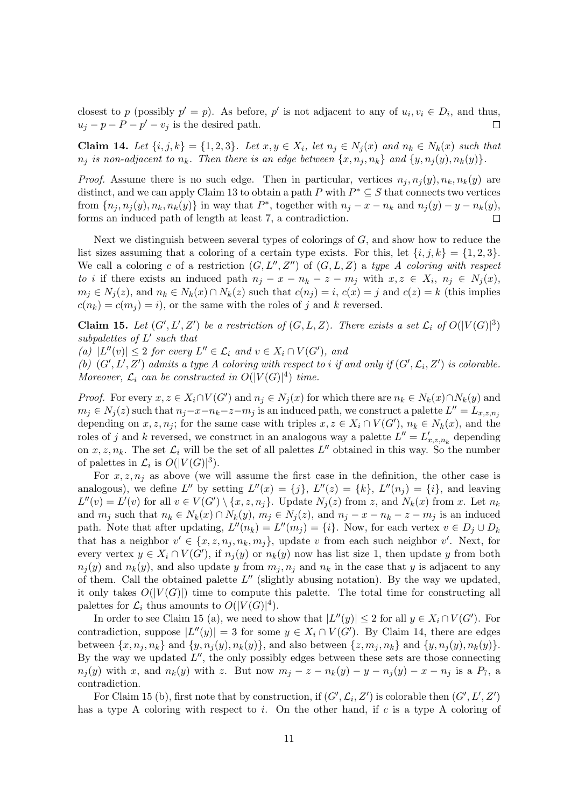closest to p (possibly  $p' = p$ ). As before, p' is not adjacent to any of  $u_i, v_i \in D_i$ , and thus,  $u_j - p - P - p' - v_j$  is the desired path.  $\Box$ 

Claim 14. Let  $\{i, j, k\} = \{1, 2, 3\}$ . Let  $x, y \in X_i$ , let  $n_j \in N_j(x)$  and  $n_k \in N_k(x)$  such that  $n_j$  is non-adjacent to  $n_k$ . Then there is an edge between  $\{x, n_j, n_k\}$  and  $\{y, n_j(y), n_k(y)\}.$ 

*Proof.* Assume there is no such edge. Then in particular, vertices  $n_j, n_i(y), n_k, n_k(y)$  are distinct, and we can apply Claim 13 to obtain a path P with  $P^* \subseteq S$  that connects two vertices from  $\{n_j, n_j(y), n_k, n_k(y)\}\$  in way that  $P^*$ , together with  $n_j - x - n_k$  and  $n_j(y) - y - n_k(y)$ , forms an induced path of length at least 7, a contradiction.  $\Box$ 

Next we distinguish between several types of colorings of  $G$ , and show how to reduce the list sizes assuming that a coloring of a certain type exists. For this, let  $\{i, j, k\} = \{1, 2, 3\}.$ We call a coloring c of a restriction  $(G, L'', Z'')$  of  $(G, L, Z)$  a type A coloring with respect to i if there exists an induced path  $n_j - x - n_k - z - m_j$  with  $x, z \in X_i$ ,  $n_j \in N_j(x)$ ,  $m_j \in N_j(z)$ , and  $n_k \in N_k(x) \cap N_k(z)$  such that  $c(n_j) = i$ ,  $c(x) = j$  and  $c(z) = k$  (this implies  $c(n_k) = c(m_i) = i$ , or the same with the roles of j and k reversed.

**Claim 15.** Let  $(G', L', Z')$  be a restriction of  $(G, L, Z)$ . There exists a set  $\mathcal{L}_i$  of  $O(|V(G)|^3)$ subpalettes of  $L'$  such that

(a)  $|L''(v)| \leq 2$  for every  $L'' \in \mathcal{L}_i$  and  $v \in X_i \cap V(G')$ , and

(b)  $(G', L', Z')$  admits a type A coloring with respect to i if and only if  $(G', \mathcal{L}_i, Z')$  is colorable. Moreover,  $\mathcal{L}_i$  can be constructed in  $O(|V(G)|^4)$  time.

*Proof.* For every  $x, z \in X_i \cap V(G')$  and  $n_j \in N_j(x)$  for which there are  $n_k \in N_k(x) \cap N_k(y)$  and  $m_j \in N_j(z)$  such that  $n_j - x - n_k - z - m_j$  is an induced path, we construct a palette  $L'' = L_{x,z,n_j}$ depending on  $x, z, n_j$ ; for the same case with triples  $x, z \in X_i \cap V(G')$ ,  $n_k \in N_k(x)$ , and the roles of j and k reversed, we construct in an analogous way a palette  $L'' = L'_{x,z,n_k}$  depending on  $x, z, n_k$ . The set  $\mathcal{L}_i$  will be the set of all palettes  $L''$  obtained in this way. So the number of palettes in  $\mathcal{L}_i$  is  $O(|V(G)|^3)$ .

For  $x, z, n_j$  as above (we will assume the first case in the definition, the other case is analogous), we define L'' by setting  $L''(x) = \{j\}, L''(z) = \{k\}, L''(n_j) = \{i\},\$ and leaving  $L''(v) = L'(v)$  for all  $v \in V(G') \setminus \{x, z, n_j\}$ . Update  $N_j(z)$  from z, and  $N_k(x)$  from x. Let  $n_k$ and  $m_j$  such that  $n_k \in N_k(x) \cap N_k(y)$ ,  $m_j \in N_j(z)$ , and  $n_j - x - n_k - z - m_j$  is an induced path. Note that after updating,  $L''(n_k) = L''(m_j) = \{i\}$ . Now, for each vertex  $v \in D_j \cup D_k$ that has a neighbor  $v' \in \{x, z, n_j, n_k, m_j\}$ , update v from each such neighbor v'. Next, for every vertex  $y \in X_i \cap V(G')$ , if  $n_j(y)$  or  $n_k(y)$  now has list size 1, then update y from both  $n_i(y)$  and  $n_k(y)$ , and also update y from  $m_i, n_i$  and  $n_k$  in the case that y is adjacent to any of them. Call the obtained palette  $L''$  (slightly abusing notation). By the way we updated, it only takes  $O(|V(G)|)$  time to compute this palette. The total time for constructing all palettes for  $\mathcal{L}_i$  thus amounts to  $O(|V(G)|^4)$ .

In order to see Claim 15 (a), we need to show that  $|L''(y)| \leq 2$  for all  $y \in X_i \cap V(G')$ . For contradiction, suppose  $|L''(y)| = 3$  for some  $y \in X_i \cap V(G')$ . By Claim 14, there are edges between  $\{x, n_j, n_k\}$  and  $\{y, n_j(y), n_k(y)\}$ , and also between  $\{z, m_j, n_k\}$  and  $\{y, n_j(y), n_k(y)\}$ . By the way we updated  $L''$ , the only possibly edges between these sets are those connecting  $n_j(y)$  with x, and  $n_k(y)$  with z. But now  $m_j - z - n_k(y) - y - n_j(y) - x - n_j$  is a  $P_7$ , a contradiction.

For Claim 15 (b), first note that by construction, if  $(G', \mathcal{L}_i, Z')$  is colorable then  $(G', L', Z')$ has a type A coloring with respect to i. On the other hand, if c is a type A coloring of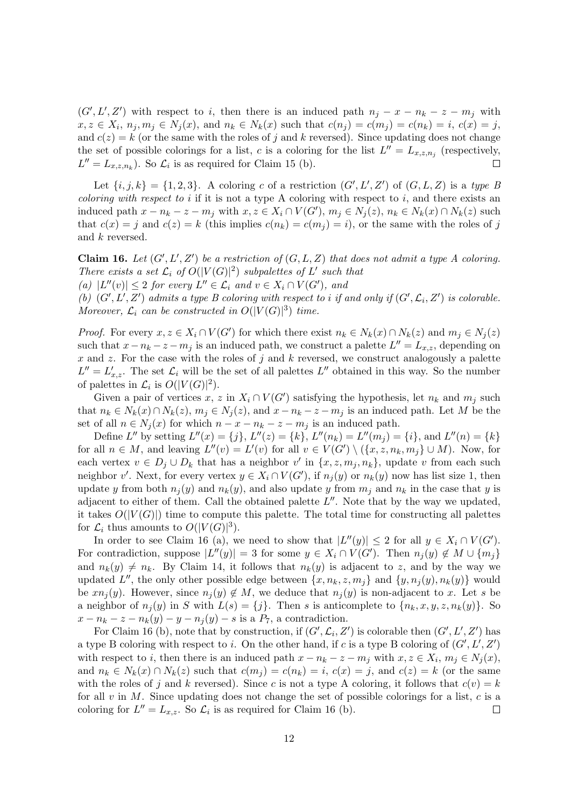$(G', L', Z')$  with respect to i, then there is an induced path  $n_j - x - n_k - z - m_j$  with  $x, z \in X_i$ ,  $n_j, m_j \in N_j(x)$ , and  $n_k \in N_k(x)$  such that  $c(n_j) = c(m_j) = c(n_k) = i$ ,  $c(x) = j$ , and  $c(z) = k$  (or the same with the roles of j and k reversed). Since updating does not change the set of possible colorings for a list, c is a coloring for the list  $L'' = L_{x,z,n_j}$  (respectively,  $L'' = L_{x,z,n_k}$ ). So  $\mathcal{L}_i$  is as required for Claim 15 (b).

Let  $\{i, j, k\} = \{1, 2, 3\}$ . A coloring c of a restriction  $(G', L', Z')$  of  $(G, L, Z)$  is a type B *coloring with respect to i* if it is not a type A coloring with respect to i, and there exists an induced path  $x - n_k - z - m_j$  with  $x, z \in X_i \cap V(G')$ ,  $m_j \in N_j(z)$ ,  $n_k \in N_k(x) \cap N_k(z)$  such that  $c(x) = j$  and  $c(z) = k$  (this implies  $c(n_k) = c(m_j) = i$ ), or the same with the roles of j and k reversed.

Claim 16. Let  $(G', L', Z')$  be a restriction of  $(G, L, Z)$  that does not admit a type A coloring. There exists a set  $\mathcal{L}_i$  of  $O(|V(G)|^2)$  subpalettes of L' such that (a)  $|L''(v)| \leq 2$  for every  $L'' \in \mathcal{L}_i$  and  $v \in X_i \cap V(G')$ , and

(b)  $(G', L', Z')$  admits a type B coloring with respect to i if and only if  $(G', \mathcal{L}_i, Z')$  is colorable. Moreover,  $\mathcal{L}_i$  can be constructed in  $O(|V(G)|^3)$  time.

*Proof.* For every  $x, z \in X_i \cap V(G')$  for which there exist  $n_k \in N_k(x) \cap N_k(z)$  and  $m_j \in N_j(z)$ such that  $x - n_k - z - m_j$  is an induced path, we construct a palette  $L'' = L_{x,z}$ , depending on x and z. For the case with the roles of j and k reversed, we construct analogously a palette  $L'' = L'_{x,z}$ . The set  $\mathcal{L}_i$  will be the set of all palettes  $L''$  obtained in this way. So the number of palettes in  $\mathcal{L}_i$  is  $O(|V(G)|^2)$ .

Given a pair of vertices x, z in  $X_i \cap V(G')$  satisfying the hypothesis, let  $n_k$  and  $m_j$  such that  $n_k \in N_k(x) \cap N_k(z)$ ,  $m_j \in N_j(z)$ , and  $x - n_k - z - m_j$  is an induced path. Let M be the set of all  $n \in N_j(x)$  for which  $n - x - n_k - z - m_j$  is an induced path.

Define L'' by setting  $L''(x) = \{j\}, L''(z) = \{k\}, L''(n_k) = L''(m_j) = \{i\}, \text{ and } L''(n) = \{k\}$ for all  $n \in M$ , and leaving  $L''(v) = L'(v)$  for all  $v \in V(G') \setminus (\{x, z, n_k, m_j\} \cup M)$ . Now, for each vertex  $v \in D_j \cup D_k$  that has a neighbor v' in  $\{x, z, m_j, n_k\}$ , update v from each such neighbor v'. Next, for every vertex  $y \in X_i \cap V(G')$ , if  $n_j(y)$  or  $n_k(y)$  now has list size 1, then update y from both  $n_i(y)$  and  $n_k(y)$ , and also update y from  $m_i$  and  $n_k$  in the case that y is adjacent to either of them. Call the obtained palette  $L''$ . Note that by the way we updated, it takes  $O(|V(G)|)$  time to compute this palette. The total time for constructing all palettes for  $\mathcal{L}_i$  thus amounts to  $O(|V(G)|^3)$ .

In order to see Claim 16 (a), we need to show that  $|L''(y)| \leq 2$  for all  $y \in X_i \cap V(G')$ . For contradiction, suppose  $|L''(y)| = 3$  for some  $y \in X_i \cap V(G')$ . Then  $n_j(y) \notin M \cup \{m_j\}$ and  $n_k(y) \neq n_k$ . By Claim 14, it follows that  $n_k(y)$  is adjacent to z, and by the way we updated L'', the only other possible edge between  $\{x, n_k, z, m_j\}$  and  $\{y, n_j(y), n_k(y)\}$  would be  $x n_i(y)$ . However, since  $n_i(y) \notin M$ , we deduce that  $n_i(y)$  is non-adjacent to x. Let s be a neighbor of  $n_j(y)$  in S with  $L(s) = \{j\}$ . Then s is anticomplete to  $\{n_k, x, y, z, n_k(y)\}$ . So  $x - n_k - z - n_k(y) - y - n_j(y) - s$  is a  $P_7$ , a contradiction.

For Claim 16 (b), note that by construction, if  $(G', \mathcal{L}_i, Z')$  is colorable then  $(G', L', Z')$  has a type B coloring with respect to *i*. On the other hand, if c is a type B coloring of  $(G', L', Z')$ with respect to *i*, then there is an induced path  $x - n_k - z - m_j$  with  $x, z \in X_i$ ,  $m_j \in N_j(x)$ , and  $n_k \in N_k(x) \cap N_k(z)$  such that  $c(m_i) = c(n_k) = i$ ,  $c(x) = j$ , and  $c(z) = k$  (or the same with the roles of j and k reversed). Since c is not a type A coloring, it follows that  $c(v) = k$ for all  $v$  in  $M$ . Since updating does not change the set of possible colorings for a list,  $c$  is a coloring for  $L'' = L_{x,z}$ . So  $\mathcal{L}_i$  is as required for Claim 16 (b).  $\Box$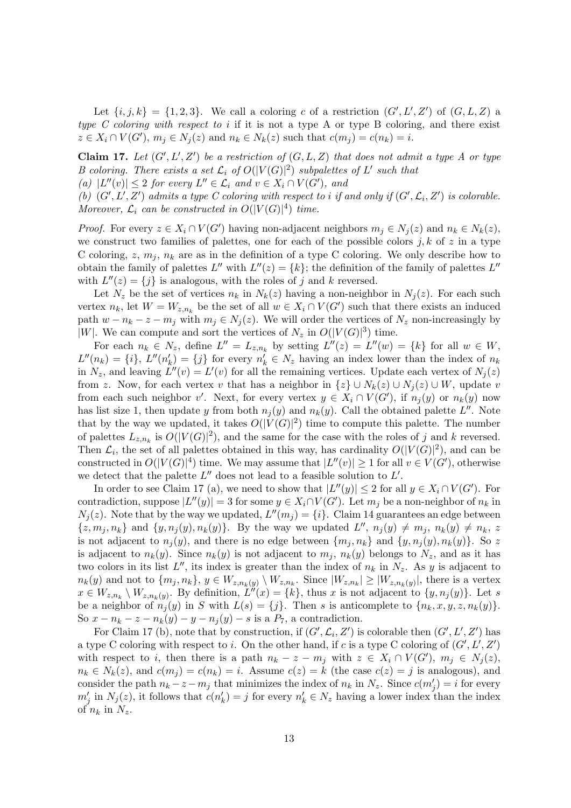Let  $\{i, j, k\} = \{1, 2, 3\}$ . We call a coloring c of a restriction  $(G', L', Z')$  of  $(G, L, Z)$  a type C coloring with respect to i if it is not a type A or type B coloring, and there exist  $z \in X_i \cap V(G'), m_j \in N_j(z)$  and  $n_k \in N_k(z)$  such that  $c(m_j) = c(n_k) = i$ .

Claim 17. Let  $(G', L', Z')$  be a restriction of  $(G, L, Z)$  that does not admit a type A or type B coloring. There exists a set  $\mathcal{L}_i$  of  $O(|V(G)|^2)$  subpalettes of L' such that

(a)  $|L''(v)| \leq 2$  for every  $L'' \in \mathcal{L}_i$  and  $v \in X_i \cap V(G')$ , and

(b)  $(G', L', Z')$  admits a type C coloring with respect to i if and only if  $(G', \mathcal{L}_i, Z')$  is colorable. Moreover,  $\mathcal{L}_i$  can be constructed in  $O(|V(G)|^4)$  time.

*Proof.* For every  $z \in X_i \cap V(G')$  having non-adjacent neighbors  $m_j \in N_j(z)$  and  $n_k \in N_k(z)$ , we construct two families of palettes, one for each of the possible colors  $j, k$  of z in a type C coloring,  $z, m_j, n_k$  are as in the definition of a type C coloring. We only describe how to obtain the family of palettes  $L''$  with  $L''(z) = \{k\}$ ; the definition of the family of palettes  $L''$ with  $L''(z) = \{j\}$  is analogous, with the roles of j and k reversed.

Let  $N_z$  be the set of vertices  $n_k$  in  $N_k(z)$  having a non-neighbor in  $N_i(z)$ . For each such vertex  $n_k$ , let  $W = W_{z,n_k}$  be the set of all  $w \in X_i \cap V(G')$  such that there exists an induced path  $w - n_k - z - m_j$  with  $m_j \in N_j(z)$ . We will order the vertices of  $N_z$  non-increasingly by |W|. We can compute and sort the vertices of  $N_z$  in  $O(|V(G)|^3)$  time.

For each  $n_k \in N_z$ , define  $L'' = L_{z,n_k}$  by setting  $L''(z) = L''(w) = \{k\}$  for all  $w \in W$ ,  $L''(n_k) = \{i\}, L''(n'_k) = \{j\}$  for every  $n'_k \in N_z$  having an index lower than the index of  $n_k$ in  $N_z$ , and leaving  $L''(v) = L'(v)$  for all the remaining vertices. Update each vertex of  $N_j(z)$ from z. Now, for each vertex v that has a neighbor in  $\{z\} \cup N_k(z) \cup N_j(z) \cup W$ , update v from each such neighbor v'. Next, for every vertex  $y \in X_i \cap V(G')$ , if  $n_j(y)$  or  $n_k(y)$  now has list size 1, then update y from both  $n_j(y)$  and  $n_k(y)$ . Call the obtained palette L''. Note that by the way we updated, it takes  $O(|V(G)|^2)$  time to compute this palette. The number of palettes  $L_{z,n_k}$  is  $O(|V(G)|^2)$ , and the same for the case with the roles of j and k reversed. Then  $\mathcal{L}_i$ , the set of all palettes obtained in this way, has cardinality  $O(|V(G)|^2)$ , and can be constructed in  $O(|V(G)|^4)$  time. We may assume that  $|L''(v)| \geq 1$  for all  $v \in V(G')$ , otherwise we detect that the palette  $L''$  does not lead to a feasible solution to  $L'$ .

In order to see Claim 17 (a), we need to show that  $|L''(y)| \leq 2$  for all  $y \in X_i \cap V(G')$ . For contradiction, suppose  $|L''(y)| = 3$  for some  $y \in X_i \cap V(G')$ . Let  $m_j$  be a non-neighbor of  $n_k$  in  $N_j(z)$ . Note that by the way we updated,  $L''(m_j) = \{i\}$ . Claim 14 guarantees an edge between  $\{z, m_j, n_k\}$  and  $\{y, n_j(y), n_k(y)\}.$  By the way we updated  $L''$ ,  $n_j(y) \neq m_j$ ,  $n_k(y) \neq n_k$ , z is not adjacent to  $n_i(y)$ , and there is no edge between  $\{m_j, n_k\}$  and  $\{y, n_j(y), n_k(y)\}$ . So z is adjacent to  $n_k(y)$ . Since  $n_k(y)$  is not adjacent to  $m_j$ ,  $n_k(y)$  belongs to  $N_z$ , and as it has two colors in its list  $L''$ , its index is greater than the index of  $n_k$  in  $N_z$ . As y is adjacent to  $n_k(y)$  and not to  $\{m_j, n_k\}, y \in W_{z,n_k(y)} \setminus W_{z,n_k}$ . Since  $|W_{z,n_k}| \geq |W_{z,n_k(y)}|$ , there is a vertex  $x \in W_{z,n_k} \setminus W_{z,n_k(y)}$ . By definition,  $L''(x) = \{k\}$ , thus x is not adjacent to  $\{y,n_j(y)\}$ . Let s be a neighbor of  $n_i(y)$  in S with  $L(s) = \{j\}$ . Then s is anticomplete to  $\{n_k, x, y, z, n_k(y)\}\$ . So  $x - n_k - z - n_k(y) - y - n_j(y) - s$  is a  $P_7$ , a contradiction.

For Claim 17 (b), note that by construction, if  $(G', \mathcal{L}_i, Z')$  is colorable then  $(G', L', Z')$  has a type C coloring with respect to *i*. On the other hand, if c is a type C coloring of  $(G', L', Z')$ with respect to i, then there is a path  $n_k - z - m_j$  with  $z \in X_i \cap V(G')$ ,  $m_j \in N_j(z)$ ,  $n_k \in N_k(z)$ , and  $c(m_i) = c(n_k) = i$ . Assume  $c(z) = k$  (the case  $c(z) = j$  is analogous), and consider the path  $n_k - z - m_j$  that minimizes the index of  $n_k$  in  $N_z$ . Since  $c(m'_j) = i$  for every  $m'_j$  in  $N_j(z)$ , it follows that  $c(n'_k) = j$  for every  $n'_k \in N_z$  having a lower index than the index of  $n_k$  in  $N_z$ .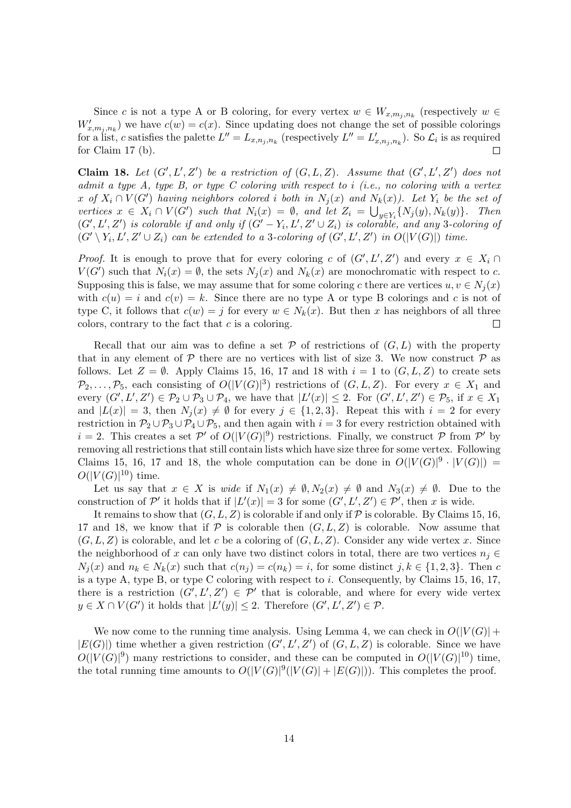Since c is not a type A or B coloring, for every vertex  $w \in W_{x,m_j,n_k}$  (respectively  $w \in$  $W'_{x,m_j,n_k}$  we have  $c(w) = c(x)$ . Since updating does not change the set of possible colorings for a list, c satisfies the palette  $L'' = L_{x,n_j,n_k}$  (respectively  $L'' = L'_{x,n_j,n_k}$ ). So  $\mathcal{L}_i$  is as required for Claim 17 (b).  $\Box$ 

Claim 18. Let  $(G', L', Z')$  be a restriction of  $(G, L, Z)$ . Assume that  $(G', L', Z')$  does not admit a type A, type B, or type C coloring with respect to  $i$  (i.e., no coloring with a vertex x of  $X_i \cap V(G')$  having neighbors colored i both in  $N_j(x)$  and  $N_k(x)$ ). Let  $Y_i$  be the set of vertices  $x \in X_i \cap V(G')$  such that  $N_i(x) = \emptyset$ , and let  $Z_i = \bigcup_{y \in Y_i} \{N_j(y), N_k(y)\}.$  Then  $(G', L', Z')$  is colorable if and only if  $(G' - Y_i, L', Z' \cup Z_i)$  is colorable, and any 3-coloring of  $(G' \setminus Y_i, L', Z' \cup Z_i)$  can be extended to a 3-coloring of  $(G', L', Z')$  in  $O(|V(G)|)$  time.

*Proof.* It is enough to prove that for every coloring c of  $(G', L', Z')$  and every  $x \in X_i \cap$  $V(G')$  such that  $N_i(x) = \emptyset$ , the sets  $N_j(x)$  and  $N_k(x)$  are monochromatic with respect to c. Supposing this is false, we may assume that for some coloring c there are vertices  $u, v \in N_i(x)$ with  $c(u) = i$  and  $c(v) = k$ . Since there are no type A or type B colorings and c is not of type C, it follows that  $c(w) = j$  for every  $w \in N_k(x)$ . But then x has neighbors of all three colors, contrary to the fact that  $c$  is a coloring.  $\Box$ 

Recall that our aim was to define a set  $P$  of restrictions of  $(G, L)$  with the property that in any element of  $P$  there are no vertices with list of size 3. We now construct  $P$  as follows. Let  $Z = \emptyset$ . Apply Claims 15, 16, 17 and 18 with  $i = 1$  to  $(G, L, Z)$  to create sets  $\mathcal{P}_2,\ldots,\mathcal{P}_5$ , each consisting of  $O(|V(G)|^3)$  restrictions of  $(G, L, Z)$ . For every  $x \in X_1$  and every  $(G', L', Z') \in \mathcal{P}_2 \cup \mathcal{P}_3 \cup \mathcal{P}_4$ , we have that  $|L'(x)| \leq 2$ . For  $(G', L', Z') \in \mathcal{P}_5$ , if  $x \in X_1$ and  $|L(x)| = 3$ , then  $N_i(x) \neq \emptyset$  for every  $j \in \{1, 2, 3\}$ . Repeat this with  $i = 2$  for every restriction in  $\mathcal{P}_2 \cup \mathcal{P}_3 \cup \mathcal{P}_4 \cup \mathcal{P}_5$ , and then again with  $i=3$  for every restriction obtained with  $i = 2$ . This creates a set P' of  $O(|V(G)|^9)$  restrictions. Finally, we construct P from P' by removing all restrictions that still contain lists which have size three for some vertex. Following Claims 15, 16, 17 and 18, the whole computation can be done in  $O(|V(G)|^9 \cdot |V(G)|)$  =  $O(|V(G)|^{10})$  time.

Let us say that  $x \in X$  is wide if  $N_1(x) \neq \emptyset, N_2(x) \neq \emptyset$  and  $N_3(x) \neq \emptyset$ . Due to the construction of P' it holds that if  $|L'(x)| = 3$  for some  $(G', L', Z') \in \mathcal{P}'$ , then x is wide.

It remains to show that  $(G, L, Z)$  is colorable if and only if P is colorable. By Claims 15, 16, 17 and 18, we know that if  $P$  is colorable then  $(G, L, Z)$  is colorable. Now assume that  $(G, L, Z)$  is colorable, and let c be a coloring of  $(G, L, Z)$ . Consider any wide vertex x. Since the neighborhood of x can only have two distinct colors in total, there are two vertices  $n_i \in$  $N_i(x)$  and  $n_k \in N_k(x)$  such that  $c(n_i) = c(n_k) = i$ , for some distinct  $j, k \in \{1, 2, 3\}$ . Then c is a type A, type B, or type C coloring with respect to  $i$ . Consequently, by Claims 15, 16, 17, there is a restriction  $(G', L', Z') \in \mathcal{P}'$  that is colorable, and where for every wide vertex  $y \in X \cap V(G')$  it holds that  $|L'(y)| \leq 2$ . Therefore  $(G', L', Z') \in \mathcal{P}$ .

We now come to the running time analysis. Using Lemma 4, we can check in  $O(|V(G)| +$  $|E(G)|$ ) time whether a given restriction  $(G', L', Z')$  of  $(G, L, Z)$  is colorable. Since we have  $O(|V(G)|^9)$  many restrictions to consider, and these can be computed in  $O(|V(G)|^{10})$  time, the total running time amounts to  $O(|V(G)|^9(|V(G)|+|E(G)|))$ . This completes the proof.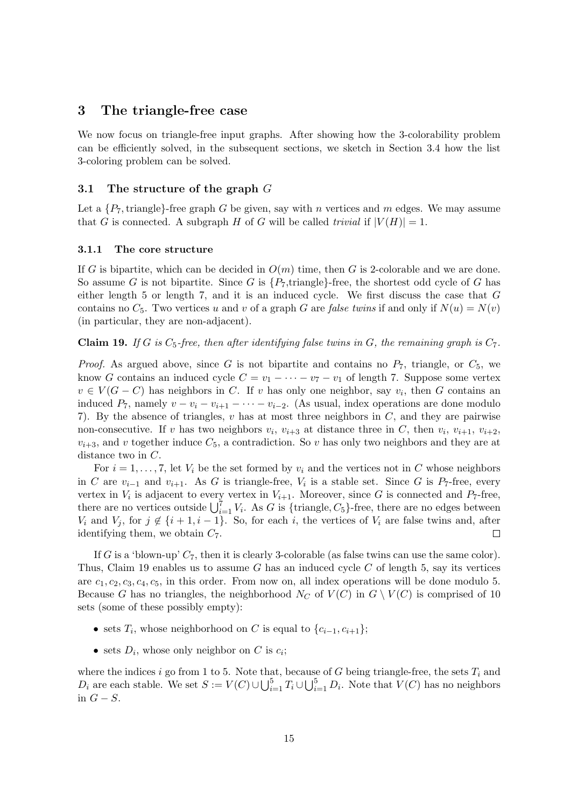## 3 The triangle-free case

We now focus on triangle-free input graphs. After showing how the 3-colorability problem can be efficiently solved, in the subsequent sections, we sketch in Section 3.4 how the list 3-coloring problem can be solved.

## 3.1 The structure of the graph  $G$

Let a  $\{P_7, \text{triangle}\}\text{-free graph } G$  be given, say with n vertices and m edges. We may assume that G is connected. A subgraph H of G will be called trivial if  $|V(H)| = 1$ .

### 3.1.1 The core structure

If G is bipartite, which can be decided in  $O(m)$  time, then G is 2-colorable and we are done. So assume G is not bipartite. Since G is  $\{P_7$ , triangle. free, the shortest odd cycle of G has either length  $5$  or length  $7$ , and it is an induced cycle. We first discuss the case that  $G$ contains no  $C_5$ . Two vertices u and v of a graph G are false twins if and only if  $N(u) = N(v)$ (in particular, they are non-adjacent).

**Claim 19.** If G is  $C_5$ -free, then after identifying false twins in G, the remaining graph is  $C_7$ .

*Proof.* As argued above, since G is not bipartite and contains no  $P_7$ , triangle, or  $C_5$ , we know G contains an induced cycle  $C = v_1 - \cdots - v_7 - v_1$  of length 7. Suppose some vertex  $v \in V(G-C)$  has neighbors in C. If v has only one neighbor, say  $v_i$ , then G contains an induced  $P_7$ , namely  $v - v_i - v_{i+1} - \cdots - v_{i-2}$ . (As usual, index operations are done modulo 7). By the absence of triangles, v has at most three neighbors in C, and they are pairwise non-consecutive. If v has two neighbors  $v_i$ ,  $v_{i+3}$  at distance three in C, then  $v_i$ ,  $v_{i+1}$ ,  $v_{i+2}$ ,  $v_{i+3}$ , and v together induce  $C_5$ , a contradiction. So v has only two neighbors and they are at distance two in C.

For  $i = 1, \ldots, 7$ , let  $V_i$  be the set formed by  $v_i$  and the vertices not in C whose neighbors in C are  $v_{i-1}$  and  $v_{i+1}$ . As G is triangle-free,  $V_i$  is a stable set. Since G is P<sub>7</sub>-free, every vertex in  $V_i$  is adjacent to every vertex in  $V_{i+1}$ . Moreover, since G is connected and  $P_7$ -free, there are no vertices outside  $\bigcup_{i=1}^{7} V_i$ . As G is {triangle, C<sub>5</sub>}-free, there are no edges between  $V_i$  and  $V_j$ , for  $j \notin \{i+1, i-1\}$ . So, for each i, the vertices of  $V_i$  are false twins and, after identifying them, we obtain  $C_7$ .  $\Box$ 

If G is a 'blown-up'  $C_7$ , then it is clearly 3-colorable (as false twins can use the same color). Thus, Claim 19 enables us to assume G has an induced cycle C of length 5, say its vertices are  $c_1, c_2, c_3, c_4, c_5$ , in this order. From now on, all index operations will be done modulo 5. Because G has no triangles, the neighborhood  $N_C$  of  $V(C)$  in  $G \setminus V(C)$  is comprised of 10 sets (some of these possibly empty):

- sets  $T_i$ , whose neighborhood on C is equal to  $\{c_{i-1}, c_{i+1}\};$
- sets  $D_i$ , whose only neighbor on C is  $c_i$ ;

where the indices i go from 1 to 5. Note that, because of G being triangle-free, the sets  $T_i$  and  $D_i$  are each stable. We set  $S := V(C) \cup \bigcup_{i=1}^5 T_i \cup \bigcup_{i=1}^5 D_i$ . Note that  $V(C)$  has no neighbors in  $G-S$ .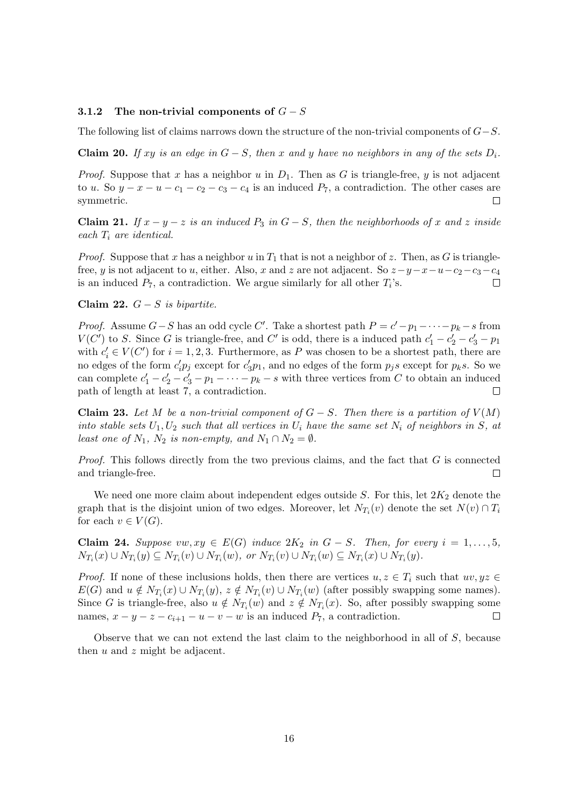#### 3.1.2 The non-trivial components of  $G-S$

The following list of claims narrows down the structure of the non-trivial components of  $G-S$ .

**Claim 20.** If xy is an edge in  $G - S$ , then x and y have no neighbors in any of the sets  $D_i$ .

*Proof.* Suppose that x has a neighbor u in  $D_1$ . Then as G is triangle-free, y is not adjacent to u. So  $y - x - u - c_1 - c_2 - c_3 - c_4$  is an induced  $P_7$ , a contradiction. The other cases are symmetric.  $\Box$ 

**Claim 21.** If  $x - y - z$  is an induced  $P_3$  in  $G - S$ , then the neighborhoods of x and z inside each  $T_i$  are identical.

*Proof.* Suppose that x has a neighbor u in  $T_1$  that is not a neighbor of z. Then, as G is trianglefree, y is not adjacent to u, either. Also, x and z are not adjacent. So  $z-y-x-u-c_2-c_3-c_4$ is an induced  $P_7$ , a contradiction. We argue similarly for all other  $T_i$ 's.  $\Box$ 

Claim 22.  $G-S$  is bipartite.

*Proof.* Assume  $G-S$  has an odd cycle C'. Take a shortest path  $P = c'-p_1-\cdots-p_k-s$  from  $V(C')$  to S. Since G is triangle-free, and C' is odd, there is a induced path  $c'_1 - c'_2 - c'_3 - p_1$ with  $c_i' \in V(C')$  for  $i = 1, 2, 3$ . Furthermore, as P was chosen to be a shortest path, there are no edges of the form  $c'_i p_j$  except for  $c'_3 p_1$ , and no edges of the form  $p_j s$  except for  $p_k s$ . So we can complete  $c'_1 - c'_2 - c'_3 - p_1 - \cdots - p_k - s$  with three vertices from C to obtain an induced path of length at least 7, a contradiction.  $\Box$ 

Claim 23. Let M be a non-trivial component of  $G-S$ . Then there is a partition of  $V(M)$ into stable sets  $U_1, U_2$  such that all vertices in  $U_i$  have the same set  $N_i$  of neighbors in S, at least one of  $N_1$ ,  $N_2$  is non-empty, and  $N_1 \cap N_2 = \emptyset$ .

*Proof.* This follows directly from the two previous claims, and the fact that  $G$  is connected and triangle-free.  $\Box$ 

We need one more claim about independent edges outside  $S$ . For this, let  $2K_2$  denote the graph that is the disjoint union of two edges. Moreover, let  $N_{T_i}(v)$  denote the set  $N(v) \cap T_i$ for each  $v \in V(G)$ .

Claim 24. Suppose vw,  $xy \in E(G)$  induce  $2K_2$  in  $G-S$ . Then, for every  $i=1,\ldots,5$ ,  $N_{T_i}(x) \cup N_{T_i}(y) \subseteq N_{T_i}(v) \cup N_{T_i}(w)$ , or  $N_{T_i}(v) \cup N_{T_i}(w) \subseteq N_{T_i}(x) \cup N_{T_i}(y)$ .

*Proof.* If none of these inclusions holds, then there are vertices  $u, z \in T_i$  such that  $uv, yz \in T_i$  $E(G)$  and  $u \notin N_{T_i}(x) \cup N_{T_i}(y), z \notin N_{T_i}(v) \cup N_{T_i}(w)$  (after possibly swapping some names). Since G is triangle-free, also  $u \notin N_{T_i}(w)$  and  $z \notin N_{T_i}(x)$ . So, after possibly swapping some names,  $x - y - z - c_{i+1} - u - v - w$  is an induced  $P_7$ , a contradiction.

Observe that we can not extend the last claim to the neighborhood in all of S, because then  $u$  and  $z$  might be adjacent.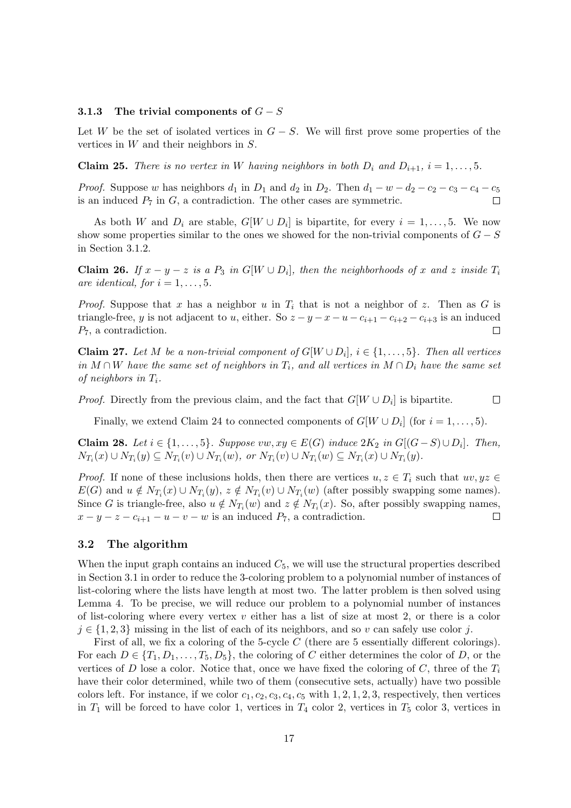## 3.1.3 The trivial components of  $G-S$

Let W be the set of isolated vertices in  $G - S$ . We will first prove some properties of the vertices in W and their neighbors in S.

**Claim 25.** There is no vertex in W having neighbors in both  $D_i$  and  $D_{i+1}$ ,  $i = 1, \ldots, 5$ .

*Proof.* Suppose w has neighbors  $d_1$  in  $D_1$  and  $d_2$  in  $D_2$ . Then  $d_1 - w - d_2 - c_2 - c_3 - c_4 - c_5$ is an induced  $P_7$  in  $G$ , a contradiction. The other cases are symmetric.

As both W and  $D_i$  are stable,  $G[W \cup D_i]$  is bipartite, for every  $i = 1, \ldots, 5$ . We now show some properties similar to the ones we showed for the non-trivial components of  $G - S$ in Section 3.1.2.

**Claim 26.** If  $x - y - z$  is a  $P_3$  in  $G[W \cup D_i]$ , then the neighborhoods of x and z inside  $T_i$ are identical, for  $i = 1, \ldots, 5$ .

*Proof.* Suppose that x has a neighbor u in  $T_i$  that is not a neighbor of z. Then as G is triangle-free, y is not adjacent to u, either. So  $z - y - x - u - c_{i+1} - c_{i+2} - c_{i+3}$  is an induced P7, a contradiction.  $\Box$ 

**Claim 27.** Let M be a non-trivial component of  $G[W \cup D_i]$ ,  $i \in \{1, ..., 5\}$ . Then all vertices in M ∩ W have the same set of neighbors in  $T_i$ , and all vertices in  $M \cap D_i$  have the same set of neighbors in  $T_i$ .

*Proof.* Directly from the previous claim, and the fact that  $G[W \cup D_i]$  is bipartite.  $\Box$ 

Finally, we extend Claim 24 to connected components of  $G[W \cup D_i]$  (for  $i = 1, ..., 5$ ).

**Claim 28.** Let  $i \in \{1, ..., 5\}$ . Suppose vw,  $xy \in E(G)$  induce  $2K_2$  in  $G[(G - S) \cup D_i]$ . Then,  $N_{T_i}(x) \cup N_{T_i}(y) \subseteq N_{T_i}(v) \cup N_{T_i}(w)$ , or  $N_{T_i}(v) \cup N_{T_i}(w) \subseteq N_{T_i}(x) \cup N_{T_i}(y)$ .

*Proof.* If none of these inclusions holds, then there are vertices  $u, z \in T_i$  such that  $uv, yz \in T_i$  $E(G)$  and  $u \notin N_{T_i}(x) \cup N_{T_i}(y), z \notin N_{T_i}(v) \cup N_{T_i}(w)$  (after possibly swapping some names). Since G is triangle-free, also  $u \notin N_{T_i}(w)$  and  $z \notin N_{T_i}(x)$ . So, after possibly swapping names,  $x - y - z - c_{i+1} - u - v - w$  is an induced  $P_7$ , a contradiction.  $\Box$ 

## 3.2 The algorithm

When the input graph contains an induced  $C_5$ , we will use the structural properties described in Section 3.1 in order to reduce the 3-coloring problem to a polynomial number of instances of list-coloring where the lists have length at most two. The latter problem is then solved using Lemma 4. To be precise, we will reduce our problem to a polynomial number of instances of list-coloring where every vertex  $v$  either has a list of size at most 2, or there is a color  $j \in \{1, 2, 3\}$  missing in the list of each of its neighbors, and so v can safely use color j.

First of all, we fix a coloring of the 5-cycle C (there are 5 essentially different colorings). For each  $D \in \{T_1, D_1, \ldots, T_5, D_5\}$ , the coloring of C either determines the color of D, or the vertices of D lose a color. Notice that, once we have fixed the coloring of C, three of the  $T_i$ have their color determined, while two of them (consecutive sets, actually) have two possible colors left. For instance, if we color  $c_1, c_2, c_3, c_4, c_5$  with 1, 2, 1, 2, 3, respectively, then vertices in  $T_1$  will be forced to have color 1, vertices in  $T_4$  color 2, vertices in  $T_5$  color 3, vertices in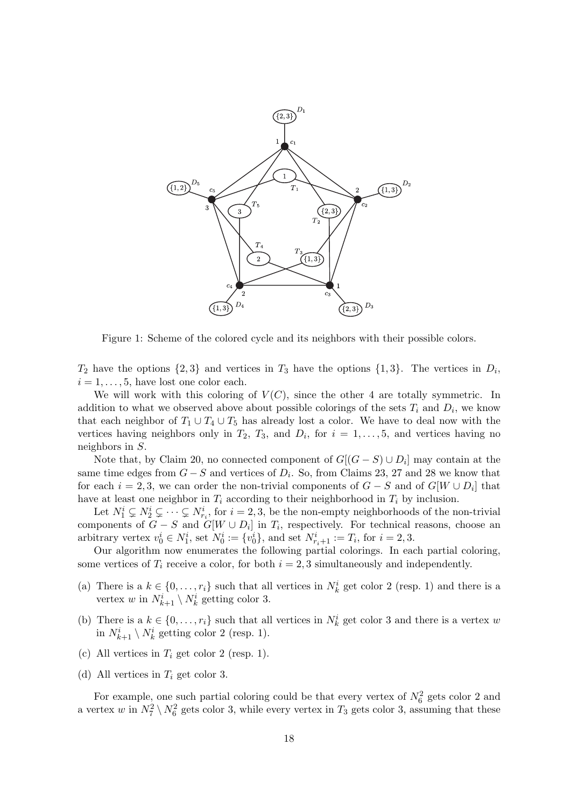

Figure 1: Scheme of the colored cycle and its neighbors with their possible colors.

 $T_2$  have the options  $\{2,3\}$  and vertices in  $T_3$  have the options  $\{1,3\}$ . The vertices in  $D_i$ ,  $i = 1, \ldots, 5$ , have lost one color each.

We will work with this coloring of  $V(C)$ , since the other 4 are totally symmetric. In addition to what we observed above about possible colorings of the sets  $T_i$  and  $D_i$ , we know that each neighbor of  $T_1 \cup T_4 \cup T_5$  has already lost a color. We have to deal now with the vertices having neighbors only in  $T_2$ ,  $T_3$ , and  $D_i$ , for  $i = 1, \ldots, 5$ , and vertices having no neighbors in S.

Note that, by Claim 20, no connected component of  $G[(G - S) \cup D_i]$  may contain at the same time edges from  $G-S$  and vertices of  $D_i$ . So, from Claims 23, 27 and 28 we know that for each  $i = 2, 3$ , we can order the non-trivial components of  $G - S$  and of  $G[W \cup D_i]$  that have at least one neighbor in  $T_i$  according to their neighborhood in  $T_i$  by inclusion.

Let  $N_1^i \subsetneq N_2^i \subsetneq \cdots \subsetneq N_{r_i}^i$ , for  $i = 2, 3$ , be the non-empty neighborhoods of the non-trivial components of  $G - S$  and  $G[W \cup D_i]$  in  $T_i$ , respectively. For technical reasons, choose an arbitrary vertex  $v_0^i \in N_1^i$ , set  $N_0^i := \{v_0^i\}$ , and set  $N_{r_i+1}^i := T_i$ , for  $i = 2, 3$ .

Our algorithm now enumerates the following partial colorings. In each partial coloring, some vertices of  $T_i$  receive a color, for both  $i = 2, 3$  simultaneously and independently.

- (a) There is a  $k \in \{0, \ldots, r_i\}$  such that all vertices in  $N_k^i$  get color 2 (resp. 1) and there is a vertex w in  $N_{k+1}^i \setminus N_k^i$  getting color 3.
- (b) There is a  $k \in \{0, \ldots, r_i\}$  such that all vertices in  $N_k^i$  get color 3 and there is a vertex w in  $N_{k+1}^i \setminus N_k^i$  getting color 2 (resp. 1).
- (c) All vertices in  $T_i$  get color 2 (resp. 1).
- (d) All vertices in  $T_i$  get color 3.

For example, one such partial coloring could be that every vertex of  $N_6^2$  gets color 2 and a vertex w in  $N_7^2 \setminus N_6^2$  gets color 3, while every vertex in  $T_3$  gets color 3, assuming that these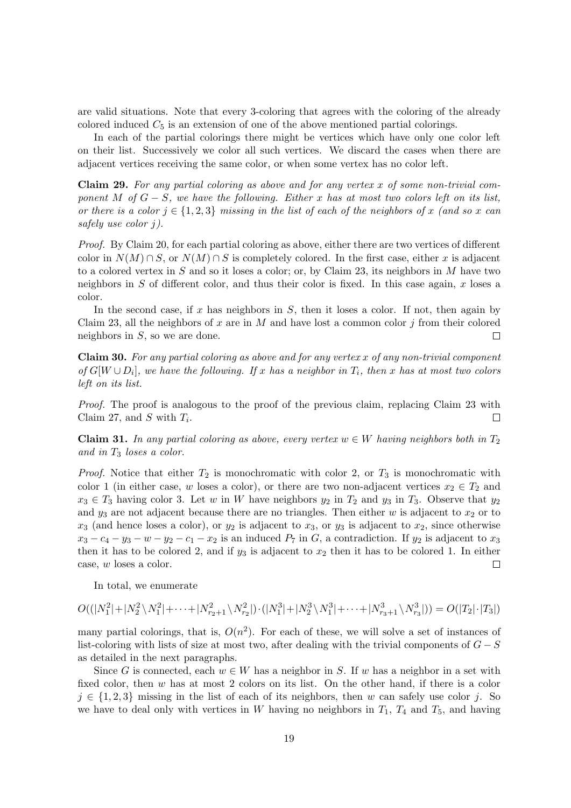are valid situations. Note that every 3-coloring that agrees with the coloring of the already colored induced  $C_5$  is an extension of one of the above mentioned partial colorings.

In each of the partial colorings there might be vertices which have only one color left on their list. Successively we color all such vertices. We discard the cases when there are adjacent vertices receiving the same color, or when some vertex has no color left.

Claim 29. For any partial coloring as above and for any vertex  $x$  of some non-trivial component M of  $G - S$ , we have the following. Either x has at most two colors left on its list, or there is a color  $j \in \{1, 2, 3\}$  missing in the list of each of the neighbors of x (and so x can safely use color j).

Proof. By Claim 20, for each partial coloring as above, either there are two vertices of different color in  $N(M) \cap S$ , or  $N(M) \cap S$  is completely colored. In the first case, either x is adjacent to a colored vertex in  $S$  and so it loses a color; or, by Claim 23, its neighbors in  $M$  have two neighbors in S of different color, and thus their color is fixed. In this case again,  $x$  loses a color.

In the second case, if x has neighbors in  $S$ , then it loses a color. If not, then again by Claim 23, all the neighbors of x are in M and have lost a common color j from their colored neighbors in S, so we are done. П

Claim 30. For any partial coloring as above and for any vertex x of any non-trivial component of  $G[W \cup D_i]$ , we have the following. If x has a neighbor in  $T_i$ , then x has at most two colors left on its list.

Proof. The proof is analogous to the proof of the previous claim, replacing Claim 23 with Claim 27, and S with  $T_i$ .  $\Box$ 

**Claim 31.** In any partial coloring as above, every vertex  $w \in W$  having neighbors both in  $T_2$ and in  $T_3$  loses a color.

*Proof.* Notice that either  $T_2$  is monochromatic with color 2, or  $T_3$  is monochromatic with color 1 (in either case, w loses a color), or there are two non-adjacent vertices  $x_2 \in T_2$  and  $x_3 \in T_3$  having color 3. Let w in W have neighbors  $y_2$  in  $T_2$  and  $y_3$  in  $T_3$ . Observe that  $y_2$ and  $y_3$  are not adjacent because there are no triangles. Then either w is adjacent to  $x_2$  or to  $x_3$  (and hence loses a color), or  $y_2$  is adjacent to  $x_3$ , or  $y_3$  is adjacent to  $x_2$ , since otherwise  $x_3 - c_4 - y_3 - w - y_2 - c_1 - x_2$  is an induced  $P_7$  in G, a contradiction. If  $y_2$  is adjacent to  $x_3$ then it has to be colored 2, and if  $y_3$  is adjacent to  $x_2$  then it has to be colored 1. In either case, w loses a color.  $\Box$ 

In total, we enumerate

$$
O((|N_1^2|+|N_2^2\setminus N_1^2|+\cdots+|N_{r_2+1}^2\setminus N_{r_2}^2|)\cdot(|N_1^3|+|N_2^3\setminus N_1^3|+\cdots+|N_{r_3+1}^3\setminus N_{r_3}^3|))=O(|T_2|\cdot|T_3|)
$$

many partial colorings, that is,  $O(n^2)$ . For each of these, we will solve a set of instances of list-coloring with lists of size at most two, after dealing with the trivial components of  $G - S$ as detailed in the next paragraphs.

Since G is connected, each  $w \in W$  has a neighbor in S. If w has a neighbor in a set with fixed color, then w has at most 2 colors on its list. On the other hand, if there is a color  $j \in \{1, 2, 3\}$  missing in the list of each of its neighbors, then w can safely use color j. So we have to deal only with vertices in W having no neighbors in  $T_1$ ,  $T_4$  and  $T_5$ , and having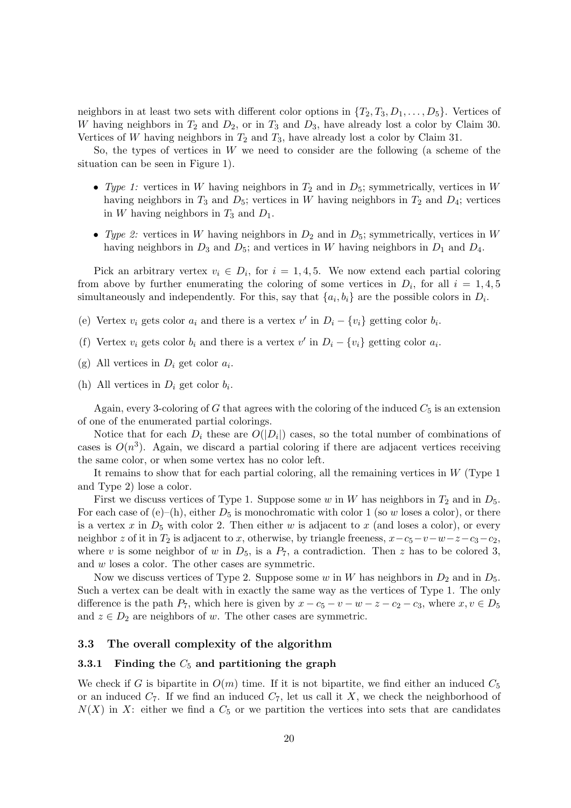neighbors in at least two sets with different color options in  $\{T_2, T_3, D_1, \ldots, D_5\}$ . Vertices of W having neighbors in  $T_2$  and  $D_2$ , or in  $T_3$  and  $D_3$ , have already lost a color by Claim 30. Vertices of W having neighbors in  $T_2$  and  $T_3$ , have already lost a color by Claim 31.

So, the types of vertices in W we need to consider are the following (a scheme of the situation can be seen in Figure 1).

- Type 1: vertices in W having neighbors in  $T_2$  and in  $D_5$ ; symmetrically, vertices in W having neighbors in  $T_3$  and  $D_5$ ; vertices in W having neighbors in  $T_2$  and  $D_4$ ; vertices in W having neighbors in  $T_3$  and  $D_1$ .
- Type 2: vertices in W having neighbors in  $D_2$  and in  $D_5$ ; symmetrically, vertices in W having neighbors in  $D_3$  and  $D_5$ ; and vertices in W having neighbors in  $D_1$  and  $D_4$ .

Pick an arbitrary vertex  $v_i \in D_i$ , for  $i = 1, 4, 5$ . We now extend each partial coloring from above by further enumerating the coloring of some vertices in  $D_i$ , for all  $i = 1, 4, 5$ simultaneously and independently. For this, say that  $\{a_i, b_i\}$  are the possible colors in  $D_i$ .

- (e) Vertex  $v_i$  gets color  $a_i$  and there is a vertex  $v'$  in  $D_i \{v_i\}$  getting color  $b_i$ .
- (f) Vertex  $v_i$  gets color  $b_i$  and there is a vertex  $v'$  in  $D_i \{v_i\}$  getting color  $a_i$ .
- (g) All vertices in  $D_i$  get color  $a_i$ .
- (h) All vertices in  $D_i$  get color  $b_i$ .

Again, every 3-coloring of G that agrees with the coloring of the induced  $C_5$  is an extension of one of the enumerated partial colorings.

Notice that for each  $D_i$  these are  $O(|D_i|)$  cases, so the total number of combinations of cases is  $O(n^3)$ . Again, we discard a partial coloring if there are adjacent vertices receiving the same color, or when some vertex has no color left.

It remains to show that for each partial coloring, all the remaining vertices in  $W$  (Type 1) and Type 2) lose a color.

First we discuss vertices of Type 1. Suppose some w in W has neighbors in  $T_2$  and in  $D_5$ . For each case of  $(e)$ –(h), either  $D_5$  is monochromatic with color 1 (so w loses a color), or there is a vertex x in  $D_5$  with color 2. Then either w is adjacent to x (and loses a color), or every neighbor z of it in  $T_2$  is adjacent to x, otherwise, by triangle freeness,  $x-c_5-v-w-z-c_3-c_2$ , where v is some neighbor of w in  $D_5$ , is a  $P_7$ , a contradiction. Then z has to be colored 3, and w loses a color. The other cases are symmetric.

Now we discuss vertices of Type 2. Suppose some w in W has neighbors in  $D_2$  and in  $D_5$ . Such a vertex can be dealt with in exactly the same way as the vertices of Type 1. The only difference is the path  $P_7$ , which here is given by  $x - c_5 - v - w - z - c_2 - c_3$ , where  $x, v \in D_5$ and  $z \in D_2$  are neighbors of w. The other cases are symmetric.

## 3.3 The overall complexity of the algorithm

#### 3.3.1 Finding the  $C_5$  and partitioning the graph

We check if G is bipartite in  $O(m)$  time. If it is not bipartite, we find either an induced  $C_5$ or an induced  $C_7$ . If we find an induced  $C_7$ , let us call it X, we check the neighborhood of  $N(X)$  in X: either we find a  $C_5$  or we partition the vertices into sets that are candidates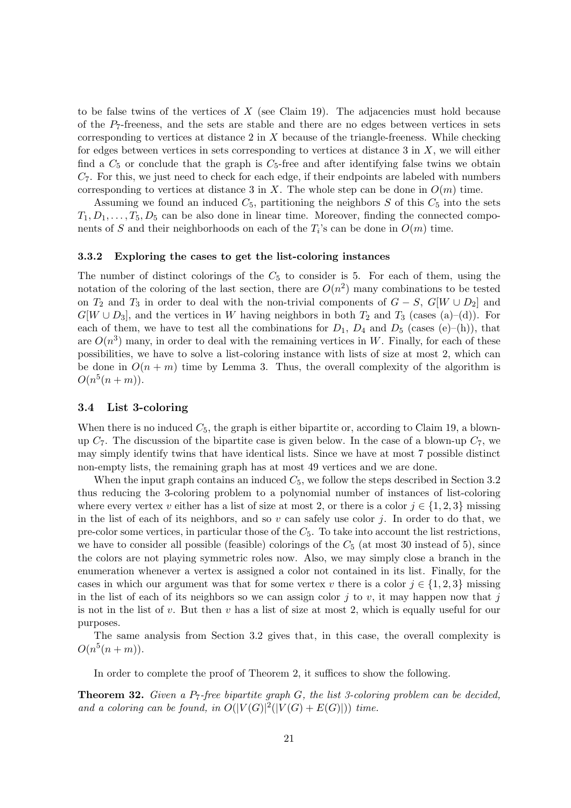to be false twins of the vertices of  $X$  (see Claim 19). The adjacencies must hold because of the  $P_7$ -freeness, and the sets are stable and there are no edges between vertices in sets corresponding to vertices at distance  $2$  in  $X$  because of the triangle-freeness. While checking for edges between vertices in sets corresponding to vertices at distance  $3$  in  $X$ , we will either find a  $C_5$  or conclude that the graph is  $C_5$ -free and after identifying false twins we obtain  $C_7$ . For this, we just need to check for each edge, if their endpoints are labeled with numbers corresponding to vertices at distance 3 in X. The whole step can be done in  $O(m)$  time.

Assuming we found an induced  $C_5$ , partitioning the neighbors  $S$  of this  $C_5$  into the sets  $T_1, D_1, \ldots, T_5, D_5$  can be also done in linear time. Moreover, finding the connected components of S and their neighborhoods on each of the  $T_i$ 's can be done in  $O(m)$  time.

## 3.3.2 Exploring the cases to get the list-coloring instances

The number of distinct colorings of the  $C_5$  to consider is 5. For each of them, using the notation of the coloring of the last section, there are  $O(n^2)$  many combinations to be tested on  $T_2$  and  $T_3$  in order to deal with the non-trivial components of  $G - S$ ,  $G[W \cup D_2]$  and  $G[W \cup D_3]$ , and the vertices in W having neighbors in both  $T_2$  and  $T_3$  (cases (a)–(d)). For each of them, we have to test all the combinations for  $D_1$ ,  $D_4$  and  $D_5$  (cases (e)–(h)), that are  $O(n^3)$  many, in order to deal with the remaining vertices in W. Finally, for each of these possibilities, we have to solve a list-coloring instance with lists of size at most 2, which can be done in  $O(n+m)$  time by Lemma 3. Thus, the overall complexity of the algorithm is  $O(n^5(n+m)).$ 

#### 3.4 List 3-coloring

When there is no induced  $C_5$ , the graph is either bipartite or, according to Claim 19, a blownup  $C_7$ . The discussion of the bipartite case is given below. In the case of a blown-up  $C_7$ , we may simply identify twins that have identical lists. Since we have at most 7 possible distinct non-empty lists, the remaining graph has at most 49 vertices and we are done.

When the input graph contains an induced  $C_5$ , we follow the steps described in Section 3.2 thus reducing the 3-coloring problem to a polynomial number of instances of list-coloring where every vertex v either has a list of size at most 2, or there is a color  $j \in \{1, 2, 3\}$  missing in the list of each of its neighbors, and so  $v$  can safely use color  $j$ . In order to do that, we pre-color some vertices, in particular those of the  $C_5$ . To take into account the list restrictions, we have to consider all possible (feasible) colorings of the  $C_5$  (at most 30 instead of 5), since the colors are not playing symmetric roles now. Also, we may simply close a branch in the enumeration whenever a vertex is assigned a color not contained in its list. Finally, for the cases in which our argument was that for some vertex v there is a color  $j \in \{1, 2, 3\}$  missing in the list of each of its neighbors so we can assign color  $j$  to v, it may happen now that j is not in the list of v. But then v has a list of size at most 2, which is equally useful for our purposes.

The same analysis from Section 3.2 gives that, in this case, the overall complexity is  $O(n^5(n+m)).$ 

In order to complete the proof of Theorem 2, it suffices to show the following.

**Theorem 32.** Given a  $P_7$ -free bipartite graph  $G$ , the list 3-coloring problem can be decided, and a coloring can be found, in  $O(|V(G)|^2(|V(G)+E(G)|))$  time.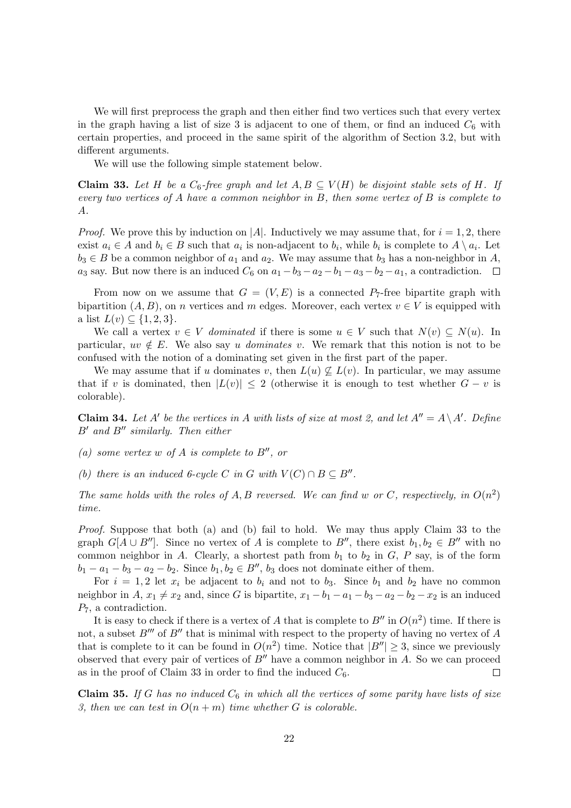We will first preprocess the graph and then either find two vertices such that every vertex in the graph having a list of size 3 is adjacent to one of them, or find an induced  $C_6$  with certain properties, and proceed in the same spirit of the algorithm of Section 3.2, but with different arguments.

We will use the following simple statement below.

**Claim 33.** Let H be a  $C_6$ -free graph and let  $A, B \subseteq V(H)$  be disjoint stable sets of H. If every two vertices of A have a common neighbor in  $B$ , then some vertex of  $B$  is complete to A.

*Proof.* We prove this by induction on |A|. Inductively we may assume that, for  $i = 1, 2$ , there exist  $a_i \in A$  and  $b_i \in B$  such that  $a_i$  is non-adjacent to  $b_i$ , while  $b_i$  is complete to  $A \setminus a_i$ . Let  $b_3 \in B$  be a common neighbor of  $a_1$  and  $a_2$ . We may assume that  $b_3$  has a non-neighbor in A, a<sub>3</sub> say. But now there is an induced  $C_6$  on  $a_1 - b_3 - a_2 - b_1 - a_3 - b_2 - a_1$ , a contradiction.  $\Box$ 

From now on we assume that  $G = (V, E)$  is a connected  $P<sub>7</sub>$ -free bipartite graph with bipartition  $(A, B)$ , on n vertices and m edges. Moreover, each vertex  $v \in V$  is equipped with a list  $L(v) \subseteq \{1, 2, 3\}.$ 

We call a vertex  $v \in V$  dominated if there is some  $u \in V$  such that  $N(v) \subseteq N(u)$ . In particular,  $uv \notin E$ . We also say u dominates v. We remark that this notion is not to be confused with the notion of a dominating set given in the first part of the paper.

We may assume that if u dominates v, then  $L(u) \nsubseteq L(v)$ . In particular, we may assume that if v is dominated, then  $|L(v)| \leq 2$  (otherwise it is enough to test whether  $G - v$  is colorable).

**Claim 34.** Let A' be the vertices in A with lists of size at most 2, and let  $A'' = A \setminus A'$ . Define  $B'$  and  $B''$  similarly. Then either

- (a) some vertex w of A is complete to  $B''$ , or
- (b) there is an induced 6-cycle C in G with  $V(C) \cap B \subseteq B''$ .

The same holds with the roles of A, B reversed. We can find w or C, respectively, in  $O(n^2)$ time.

Proof. Suppose that both (a) and (b) fail to hold. We may thus apply Claim 33 to the graph  $G[A \cup B'']$ . Since no vertex of A is complete to B'', there exist  $b_1, b_2 \in B''$  with no common neighbor in A. Clearly, a shortest path from  $b_1$  to  $b_2$  in G, P say, is of the form  $b_1 - a_1 - b_3 - a_2 - b_2$ . Since  $b_1, b_2 \in B''$ ,  $b_3$  does not dominate either of them.

For  $i = 1, 2$  let  $x_i$  be adjacent to  $b_i$  and not to  $b_3$ . Since  $b_1$  and  $b_2$  have no common neighbor in  $A, x_1 \neq x_2$  and, since G is bipartite,  $x_1 - b_1 - a_1 - b_3 - a_2 - b_2 - x_2$  is an induced  $P_7$ , a contradiction.

It is easy to check if there is a vertex of A that is complete to  $B''$  in  $O(n^2)$  time. If there is not, a subset  $B^{\prime\prime\prime}$  of  $B^{\prime\prime}$  that is minimal with respect to the property of having no vertex of A that is complete to it can be found in  $O(n^2)$  time. Notice that  $|B''| \geq 3$ , since we previously observed that every pair of vertices of  $B''$  have a common neighbor in A. So we can proceed as in the proof of Claim 33 in order to find the induced  $C_6$ .  $\Box$ 

**Claim 35.** If G has no induced  $C_6$  in which all the vertices of some parity have lists of size 3, then we can test in  $O(n+m)$  time whether G is colorable.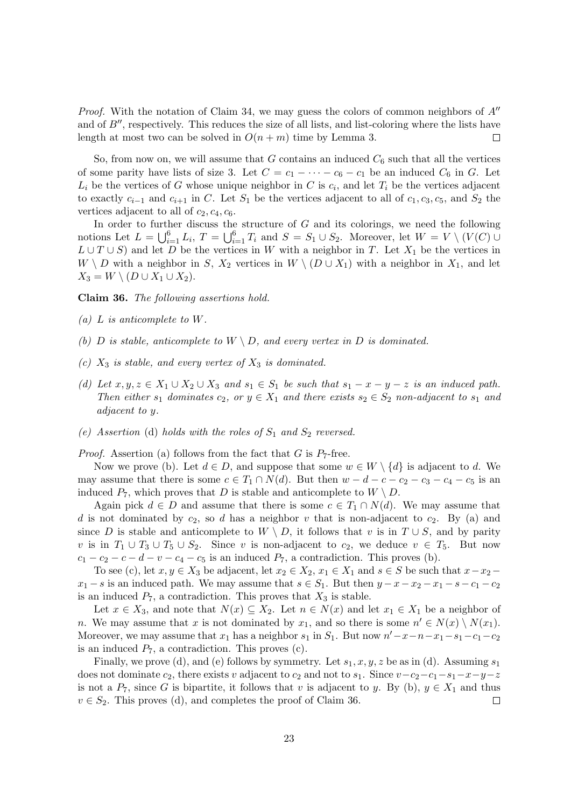*Proof.* With the notation of Claim 34, we may guess the colors of common neighbors of  $A''$ and of  $B''$ , respectively. This reduces the size of all lists, and list-coloring where the lists have length at most two can be solved in  $O(n+m)$  time by Lemma 3.  $\Box$ 

So, from now on, we will assume that G contains an induced  $C_6$  such that all the vertices of some parity have lists of size 3. Let  $C = c_1 - \cdots - c_6 - c_1$  be an induced  $C_6$  in G. Let  $L_i$  be the vertices of G whose unique neighbor in C is  $c_i$ , and let  $T_i$  be the vertices adjacent to exactly  $c_{i-1}$  and  $c_{i+1}$  in C. Let  $S_1$  be the vertices adjacent to all of  $c_1, c_3, c_5$ , and  $S_2$  the vertices adjacent to all of  $c_2, c_4, c_6$ .

In order to further discuss the structure of  $G$  and its colorings, we need the following notions Let  $L = \bigcup_{i=1}^{6} L_i$ ,  $T = \bigcup_{i=1}^{6} T_i$  and  $S = S_1 \cup S_2$ . Moreover, let  $W = V \setminus (V(C) \cup$  $L \cup T \cup S$ ) and let D be the vertices in W with a neighbor in T. Let  $X_1$  be the vertices in W \ D with a neighbor in S,  $X_2$  vertices in  $W \setminus (D \cup X_1)$  with a neighbor in  $X_1$ , and let  $X_3 = W \setminus (D \cup X_1 \cup X_2).$ 

Claim 36. The following assertions hold.

- (a) L is anticomplete to  $W$ .
- (b) D is stable, anticomplete to  $W \setminus D$ , and every vertex in D is dominated.
- (c)  $X_3$  is stable, and every vertex of  $X_3$  is dominated.
- (d) Let  $x, y, z \in X_1 \cup X_2 \cup X_3$  and  $s_1 \in S_1$  be such that  $s_1 x y z$  is an induced path. Then either  $s_1$  dominates  $c_2$ , or  $y \in X_1$  and there exists  $s_2 \in S_2$  non-adjacent to  $s_1$  and adjacent to y.
- (e) Assertion (d) holds with the roles of  $S_1$  and  $S_2$  reversed.

*Proof.* Assertion (a) follows from the fact that G is  $P_7$ -free.

Now we prove (b). Let  $d \in D$ , and suppose that some  $w \in W \setminus \{d\}$  is adjacent to d. We may assume that there is some  $c \in T_1 \cap N(d)$ . But then  $w - d - c - c_2 - c_3 - c_4 - c_5$  is an induced  $P_7$ , which proves that D is stable and anticomplete to  $W \setminus D$ .

Again pick  $d \in D$  and assume that there is some  $c \in T_1 \cap N(d)$ . We may assume that d is not dominated by  $c_2$ , so d has a neighbor v that is non-adjacent to  $c_2$ . By (a) and since D is stable and anticomplete to  $W \setminus D$ , it follows that v is in  $T \cup S$ , and by parity v is in  $T_1 \cup T_3 \cup T_5 \cup S_2$ . Since v is non-adjacent to  $c_2$ , we deduce  $v \in T_5$ . But now  $c_1 - c_2 - c - d - v - c_4 - c_5$  is an induced  $P_7$ , a contradiction. This proves (b).

To see (c), let  $x, y \in X_3$  be adjacent, let  $x_2 \in X_2$ ,  $x_1 \in X_1$  and  $s \in S$  be such that  $x-x_2$  −  $x_1 - s$  is an induced path. We may assume that  $s \in S_1$ . But then  $y - x - x_2 - x_1 - s - c_1 - c_2$ is an induced  $P_7$ , a contradiction. This proves that  $X_3$  is stable.

Let  $x \in X_3$ , and note that  $N(x) \subseteq X_2$ . Let  $n \in N(x)$  and let  $x_1 \in X_1$  be a neighbor of *n*. We may assume that x is not dominated by  $x_1$ , and so there is some  $n' \in N(x) \setminus N(x_1)$ . Moreover, we may assume that  $x_1$  has a neighbor  $s_1$  in  $S_1$ . But now  $n'-x-n-x_1-s_1-c_1-c_2$ is an induced  $P_7$ , a contradiction. This proves (c).

Finally, we prove (d), and (e) follows by symmetry. Let  $s_1, x, y, z$  be as in (d). Assuming  $s_1$ does not dominate  $c_2$ , there exists v adjacent to  $c_2$  and not to  $s_1$ . Since  $v-c_2-c_1-s_1-x-y-z$ is not a  $P_7$ , since G is bipartite, it follows that v is adjacent to y. By (b),  $y \in X_1$  and thus  $v \in S_2$ . This proves (d), and completes the proof of Claim 36. П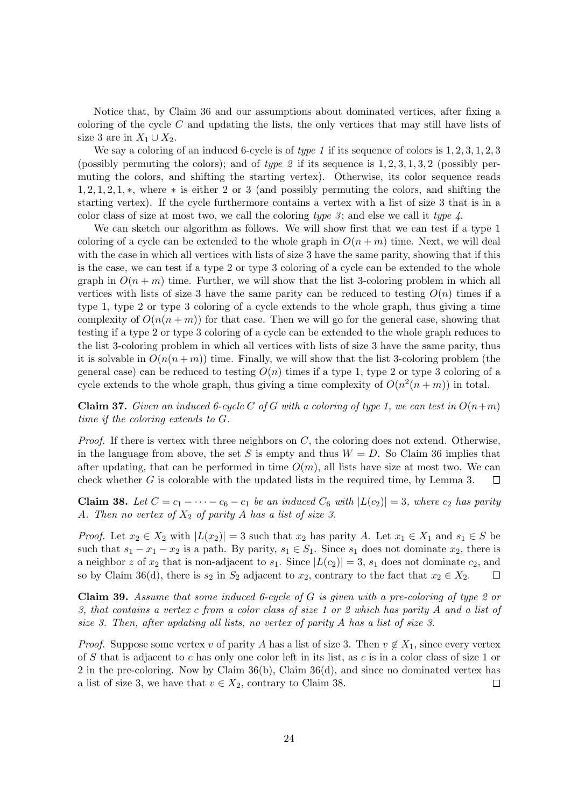Notice that, by Claim 36 and our assumptions about dominated vertices, after fixing a coloring of the cycle  $C$  and updating the lists, the only vertices that may still have lists of size 3 are in  $X_1 \cup X_2$ .

We say a coloring of an induced 6-cycle is of type 1 if its sequence of colors is  $1, 2, 3, 1, 2, 3$ (possibly permuting the colors); and of type 2 if its sequence is  $1, 2, 3, 1, 3, 2$  (possibly permuting the colors, and shifting the starting vertex). Otherwise, its color sequence reads 1, 2, 1, 2, 1, ∗, where ∗ is either 2 or 3 (and possibly permuting the colors, and shifting the starting vertex). If the cycle furthermore contains a vertex with a list of size 3 that is in a color class of size at most two, we call the coloring type 3; and else we call it type  $\lambda$ .

We can sketch our algorithm as follows. We will show first that we can test if a type 1 coloring of a cycle can be extended to the whole graph in  $O(n+m)$  time. Next, we will deal with the case in which all vertices with lists of size 3 have the same parity, showing that if this is the case, we can test if a type 2 or type 3 coloring of a cycle can be extended to the whole graph in  $O(n+m)$  time. Further, we will show that the list 3-coloring problem in which all vertices with lists of size 3 have the same parity can be reduced to testing  $O(n)$  times if a type 1, type 2 or type 3 coloring of a cycle extends to the whole graph, thus giving a time complexity of  $O(n(n+m))$  for that case. Then we will go for the general case, showing that testing if a type 2 or type 3 coloring of a cycle can be extended to the whole graph reduces to the list 3-coloring problem in which all vertices with lists of size 3 have the same parity, thus it is solvable in  $O(n(n+m))$  time. Finally, we will show that the list 3-coloring problem (the general case) can be reduced to testing  $O(n)$  times if a type 1, type 2 or type 3 coloring of a cycle extends to the whole graph, thus giving a time complexity of  $O(n^2(n+m))$  in total.

**Claim 37.** Given an induced 6-cycle C of G with a coloring of type 1, we can test in  $O(n+m)$ time if the coloring extends to G.

*Proof.* If there is vertex with three neighbors on  $C$ , the coloring does not extend. Otherwise, in the language from above, the set S is empty and thus  $W = D$ . So Claim 36 implies that after updating, that can be performed in time  $O(m)$ , all lists have size at most two. We can check whether  $G$  is colorable with the updated lists in the required time, by Lemma 3.  $\Box$ 

Claim 38. Let  $C = c_1 - \cdots - c_6 - c_1$  be an induced  $C_6$  with  $|L(c_2)| = 3$ , where  $c_2$  has parity A. Then no vertex of  $X_2$  of parity A has a list of size 3.

*Proof.* Let  $x_2 \in X_2$  with  $|L(x_2)| = 3$  such that  $x_2$  has parity A. Let  $x_1 \in X_1$  and  $s_1 \in S$  be such that  $s_1 - x_1 - x_2$  is a path. By parity,  $s_1 \in S_1$ . Since  $s_1$  does not dominate  $x_2$ , there is a neighbor z of  $x_2$  that is non-adjacent to  $s_1$ . Since  $|L(c_2)| = 3$ ,  $s_1$  does not dominate  $c_2$ , and so by Claim 36(d), there is  $s_2$  in  $S_2$  adjacent to  $x_2$ , contrary to the fact that  $x_2 \in X_2$ .  $\Box$ 

**Claim 39.** Assume that some induced 6-cycle of G is given with a pre-coloring of type 2 or 3, that contains a vertex c from a color class of size 1 or 2 which has parity A and a list of size 3. Then, after updating all lists, no vertex of parity A has a list of size 3.

*Proof.* Suppose some vertex v of parity A has a list of size 3. Then  $v \notin X_1$ , since every vertex of S that is adjacent to c has only one color left in its list, as c is in a color class of size 1 or 2 in the pre-coloring. Now by Claim  $36(b)$ , Claim  $36(d)$ , and since no dominated vertex has a list of size 3, we have that  $v \in X_2$ , contrary to Claim 38.  $\Box$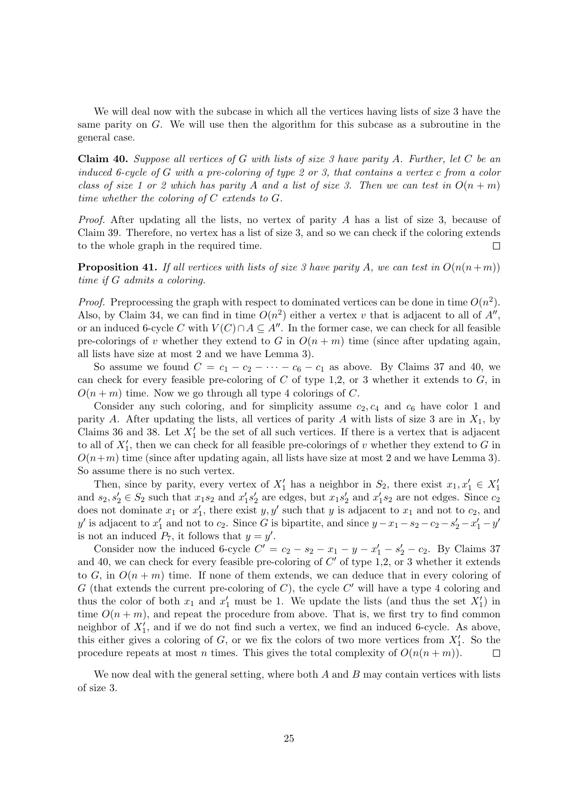We will deal now with the subcase in which all the vertices having lists of size 3 have the same parity on G. We will use then the algorithm for this subcase as a subroutine in the general case.

**Claim 40.** Suppose all vertices of G with lists of size 3 have parity A. Further, let C be an induced 6-cycle of G with a pre-coloring of type 2 or 3, that contains a vertex c from a color class of size 1 or 2 which has parity A and a list of size 3. Then we can test in  $O(n+m)$ time whether the coloring of C extends to G.

Proof. After updating all the lists, no vertex of parity A has a list of size 3, because of Claim 39. Therefore, no vertex has a list of size 3, and so we can check if the coloring extends to the whole graph in the required time.  $\Box$ 

**Proposition 41.** If all vertices with lists of size 3 have parity A, we can test in  $O(n(n+m))$ time if G admits a coloring.

*Proof.* Preprocessing the graph with respect to dominated vertices can be done in time  $O(n^2)$ . Also, by Claim 34, we can find in time  $O(n^2)$  either a vertex v that is adjacent to all of  $A''$ , or an induced 6-cycle C with  $V(C) \cap A \subseteq A''$ . In the former case, we can check for all feasible pre-colorings of v whether they extend to G in  $O(n+m)$  time (since after updating again, all lists have size at most 2 and we have Lemma 3).

So assume we found  $C = c_1 - c_2 - \cdots - c_6 - c_1$  as above. By Claims 37 and 40, we can check for every feasible pre-coloring of  $C$  of type 1,2, or 3 whether it extends to  $G$ , in  $O(n+m)$  time. Now we go through all type 4 colorings of C.

Consider any such coloring, and for simplicity assume  $c_2, c_4$  and  $c_6$  have color 1 and parity A. After updating the lists, all vertices of parity A with lists of size 3 are in  $X_1$ , by Claims 36 and 38. Let  $X'_1$  be the set of all such vertices. If there is a vertex that is adjacent to all of  $X'_1$ , then we can check for all feasible pre-colorings of v whether they extend to G in  $O(n+m)$  time (since after updating again, all lists have size at most 2 and we have Lemma 3). So assume there is no such vertex.

Then, since by parity, every vertex of  $X'_1$  has a neighbor in  $S_2$ , there exist  $x_1, x'_1 \in X'_1$ and  $s_2, s'_2 \in S_2$  such that  $x_1 s_2$  and  $x'_1 s'_2$  are edges, but  $x_1 s'_2$  and  $x'_1 s_2$  are not edges. Since  $c_2$ does not dominate  $x_1$  or  $x_1'$ , there exist  $y, y'$  such that y is adjacent to  $x_1$  and not to  $c_2$ , and y' is adjacent to  $x'_1$  and not to  $c_2$ . Since G is bipartite, and since  $y - x_1 - s_2 - c_2 - s'_2 - x'_1 - y'$ is not an induced  $P_7$ , it follows that  $y = y'$ .

Consider now the induced 6-cycle  $C' = c_2 - s_2 - x_1 - y - x'_1 - s'_2 - c_2$ . By Claims 37 and 40, we can check for every feasible pre-coloring of  $C'$  of type 1,2, or 3 whether it extends to G, in  $O(n+m)$  time. If none of them extends, we can deduce that in every coloring of G (that extends the current pre-coloring of C), the cycle  $C'$  will have a type 4 coloring and thus the color of both  $x_1$  and  $x'_1$  must be 1. We update the lists (and thus the set  $X'_1$ ) in time  $O(n+m)$ , and repeat the procedure from above. That is, we first try to find common neighbor of  $X'_1$ , and if we do not find such a vertex, we find an induced 6-cycle. As above, this either gives a coloring of  $G$ , or we fix the colors of two more vertices from  $X'_1$ . So the procedure repeats at most n times. This gives the total complexity of  $O(n(n+m))$ .  $\Box$ 

We now deal with the general setting, where both  $A$  and  $B$  may contain vertices with lists of size 3.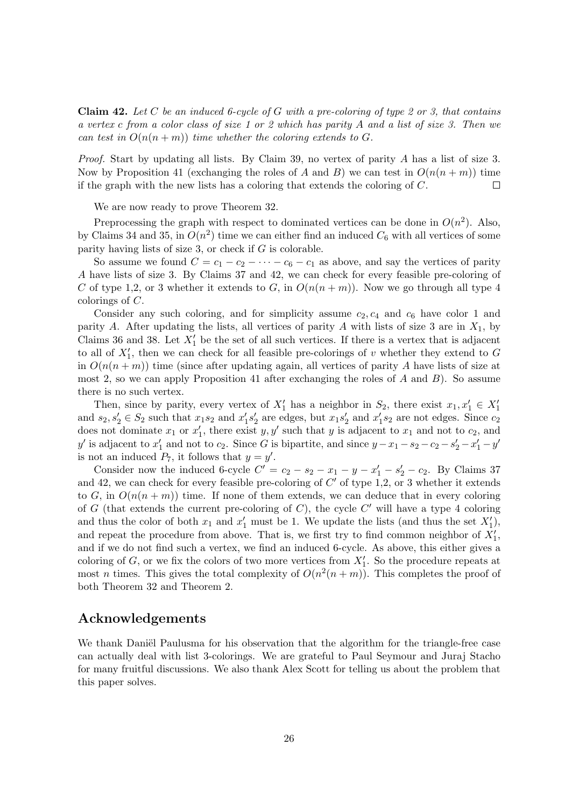**Claim 42.** Let C be an induced 6-cycle of G with a pre-coloring of type 2 or 3, that contains a vertex c from a color class of size 1 or 2 which has parity A and a list of size 3. Then we can test in  $O(n(n+m))$  time whether the coloring extends to G.

Proof. Start by updating all lists. By Claim 39, no vertex of parity A has a list of size 3. Now by Proposition 41 (exchanging the roles of A and B) we can test in  $O(n(n+m))$  time if the graph with the new lists has a coloring that extends the coloring of  $C$ .  $\Box$ 

We are now ready to prove Theorem 32.

Preprocessing the graph with respect to dominated vertices can be done in  $O(n^2)$ . Also, by Claims 34 and 35, in  $O(n^2)$  time we can either find an induced  $C_6$  with all vertices of some parity having lists of size 3, or check if G is colorable.

So assume we found  $C = c_1 - c_2 - \cdots - c_6 - c_1$  as above, and say the vertices of parity A have lists of size 3. By Claims 37 and 42, we can check for every feasible pre-coloring of C of type 1,2, or 3 whether it extends to G, in  $O(n(n+m))$ . Now we go through all type 4 colorings of C.

Consider any such coloring, and for simplicity assume  $c_2, c_4$  and  $c_6$  have color 1 and parity A. After updating the lists, all vertices of parity A with lists of size 3 are in  $X_1$ , by Claims 36 and 38. Let  $X'_1$  be the set of all such vertices. If there is a vertex that is adjacent to all of  $X'_1$ , then we can check for all feasible pre-colorings of v whether they extend to G in  $O(n(n+m))$  time (since after updating again, all vertices of parity A have lists of size at most 2, so we can apply Proposition 41 after exchanging the roles of A and  $B$ ). So assume there is no such vertex.

Then, since by parity, every vertex of  $X'_1$  has a neighbor in  $S_2$ , there exist  $x_1, x'_1 \in X'_1$ and  $s_2, s'_2 \in S_2$  such that  $x_1 s_2$  and  $x'_1 s'_2$  are edges, but  $x_1 s'_2$  and  $x'_1 s_2$  are not edges. Since  $c_2$ does not dominate  $x_1$  or  $x_1'$ , there exist  $y, y'$  such that y is adjacent to  $x_1$  and not to  $c_2$ , and y' is adjacent to  $x'_1$  and not to  $c_2$ . Since G is bipartite, and since  $y - x_1 - s_2 - c_2 - s'_2 - x'_1 - y'$ is not an induced  $P_7$ , it follows that  $y = y'$ .

Consider now the induced 6-cycle  $C' = c_2 - s_2 - x_1 - y - x'_1 - s'_2 - c_2$ . By Claims 37 and 42, we can check for every feasible pre-coloring of  $C'$  of type 1,2, or 3 whether it extends to G, in  $O(n(n+m))$  time. If none of them extends, we can deduce that in every coloring of G (that extends the current pre-coloring of C), the cycle  $C'$  will have a type 4 coloring and thus the color of both  $x_1$  and  $x'_1$  must be 1. We update the lists (and thus the set  $X'_1$ ), and repeat the procedure from above. That is, we first try to find common neighbor of  $X'_1$ , and if we do not find such a vertex, we find an induced 6-cycle. As above, this either gives a coloring of  $G$ , or we fix the colors of two more vertices from  $X'_1$ . So the procedure repeats at most *n* times. This gives the total complexity of  $O(n^2(n+m))$ . This completes the proof of both Theorem 32 and Theorem 2.

# Acknowledgements

We thank Daniël Paulusma for his observation that the algorithm for the triangle-free case can actually deal with list 3-colorings. We are grateful to Paul Seymour and Juraj Stacho for many fruitful discussions. We also thank Alex Scott for telling us about the problem that this paper solves.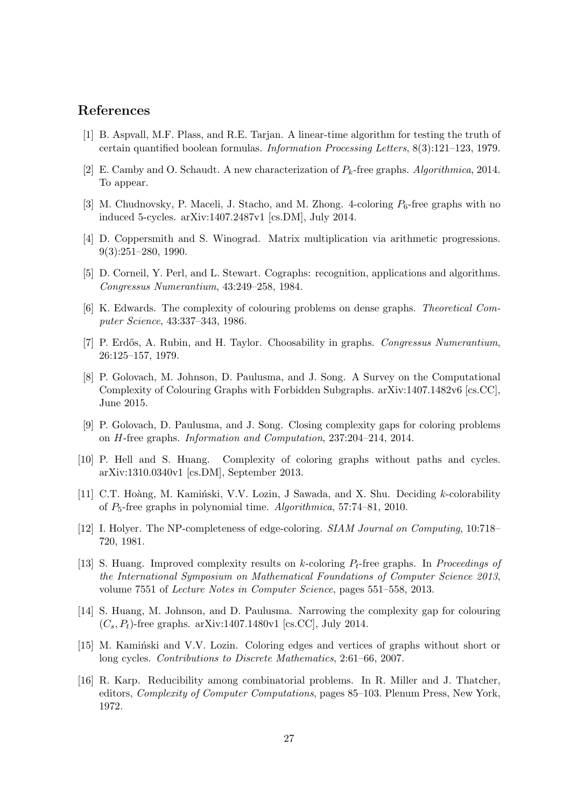# References

- [1] B. Aspvall, M.F. Plass, and R.E. Tarjan. A linear-time algorithm for testing the truth of certain quantified boolean formulas. Information Processing Letters, 8(3):121–123, 1979.
- [2] E. Camby and O. Schaudt. A new characterization of  $P_k$ -free graphs. Algorithmica, 2014. To appear.
- [3] M. Chudnovsky, P. Maceli, J. Stacho, and M. Zhong. 4-coloring  $P_6$ -free graphs with no induced 5-cycles. arXiv:1407.2487v1 [cs.DM], July 2014.
- [4] D. Coppersmith and S. Winograd. Matrix multiplication via arithmetic progressions. 9(3):251–280, 1990.
- [5] D. Corneil, Y. Perl, and L. Stewart. Cographs: recognition, applications and algorithms. Congressus Numerantium, 43:249–258, 1984.
- [6] K. Edwards. The complexity of colouring problems on dense graphs. Theoretical Computer Science, 43:337–343, 1986.
- [7] P. Erdős, A. Rubin, and H. Taylor. Choosability in graphs. Congressus Numerantium, 26:125–157, 1979.
- [8] P. Golovach, M. Johnson, D. Paulusma, and J. Song. A Survey on the Computational Complexity of Colouring Graphs with Forbidden Subgraphs. arXiv:1407.1482v6 [cs.CC], June 2015.
- [9] P. Golovach, D. Paulusma, and J. Song. Closing complexity gaps for coloring problems on H-free graphs. Information and Computation, 237:204–214, 2014.
- [10] P. Hell and S. Huang. Complexity of coloring graphs without paths and cycles. arXiv:1310.0340v1 [cs.DM], September 2013.
- [11] C.T. Hoàng, M. Kaminski, V.V. Lozin, J Sawada, and X. Shu. Deciding k-colorability of P5-free graphs in polynomial time. Algorithmica, 57:74–81, 2010.
- [12] I. Holyer. The NP-completeness of edge-coloring. SIAM Journal on Computing, 10:718– 720, 1981.
- [13] S. Huang. Improved complexity results on k-coloring  $P_t$ -free graphs. In Proceedings of the International Symposium on Mathematical Foundations of Computer Science 2013, volume 7551 of Lecture Notes in Computer Science, pages 551–558, 2013.
- [14] S. Huang, M. Johnson, and D. Paulusma. Narrowing the complexity gap for colouring  $(C_s, P_t)$ -free graphs. arXiv:1407.1480v1 [cs.CC], July 2014.
- [15] M. Kaminski and V.V. Lozin. Coloring edges and vertices of graphs without short or long cycles. Contributions to Discrete Mathematics, 2:61–66, 2007.
- [16] R. Karp. Reducibility among combinatorial problems. In R. Miller and J. Thatcher, editors, Complexity of Computer Computations, pages 85–103. Plenum Press, New York, 1972.